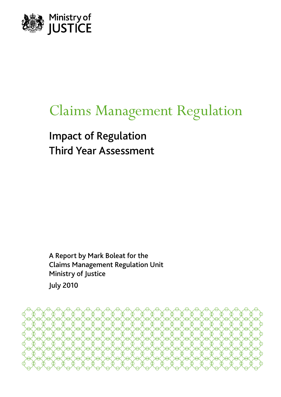

# Claims Management Regulation

## Impact of Regulation Third Year Assessment

A Report by Mark Boleat for the Claims Management Regulation Unit Ministry of Justice

July 2010

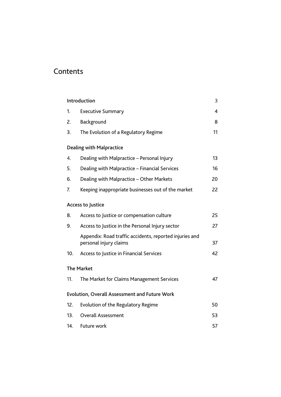### **Contents**

|                | Introduction                                                                      | 3              |
|----------------|-----------------------------------------------------------------------------------|----------------|
| $\mathbf{1}$ . | <b>Executive Summary</b>                                                          | $\overline{4}$ |
| 2.             | Background                                                                        | 8              |
| 3.             | The Evolution of a Regulatory Regime                                              | 11             |
|                | <b>Dealing with Malpractice</b>                                                   |                |
| 4.             | Dealing with Malpractice - Personal Injury                                        | 13             |
| 5.             | Dealing with Malpractice - Financial Services                                     | 16             |
| 6.             | Dealing with Malpractice - Other Markets                                          | 20             |
| 7.             | Keeping inappropriate businesses out of the market                                | 22             |
|                | <b>Access to Justice</b>                                                          |                |
| 8.             | Access to Justice or compensation culture                                         | 25             |
| 9.             | Access to Justice in the Personal Injury sector                                   | 27             |
|                | Appendix: Road traffic accidents, reported injuries and<br>personal injury claims | 37             |
| 10.            | Access to Justice in Financial Services                                           | 42             |
|                | <b>The Market</b>                                                                 |                |
| 11.            | The Market for Claims Management Services                                         | 47             |
|                | Evolution, Overall Assessment and Future Work                                     |                |
| 12.            | Evolution of the Regulatory Regime                                                | 50             |
| 13.            | <b>Overall Assessment</b>                                                         | 53             |
| 14.            | Future work                                                                       | 57             |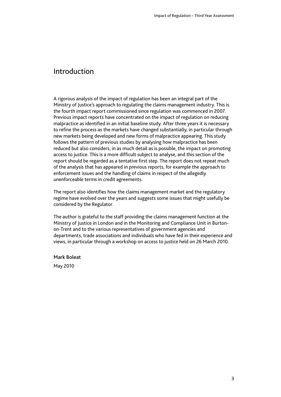### <span id="page-4-0"></span>Introduction

A rigorous analysis of the impact of regulation has been an integral part of the Ministry of Justice's approach to regulating the claims management industry. This is the fourth impact report commissioned since regulation was commenced in 2007. Previous impact reports have concentrated on the impact of regulation on reducing malpractice as identified in an initial baseline study. After three years it is necessary to refine the process as the markets have changed substantially, in particular through new markets being developed and new forms of malpractice appearing. This study follows the pattern of previous studies by analysing how malpractice has been reduced but also considers, in as much detail as is possible, the impact on promoting access to justice. This is a more difficult subject to analyse, and this section of the report should be regarded as a tentative first step. The report does not repeat much of the analysis that has appeared in previous reports, for example the approach to enforcement issues and the handling of claims in respect of the allegedly unenforceable terms in credit agreements.

The report also identifies how the claims management market and the regulatory regime have evolved over the years and suggests some issues that might usefully be considered by the Regulator.

The author is grateful to the staff providing the claims management function at the Ministry of Justice in London and in the Monitoring and Compliance Unit in Burtonon-Trent and to the various representatives of government agencies and departments, trade associations and individuals who have fed in their experience and views, in particular through a workshop on access to justice held on 26 March 2010.

Mark Boleat May 2010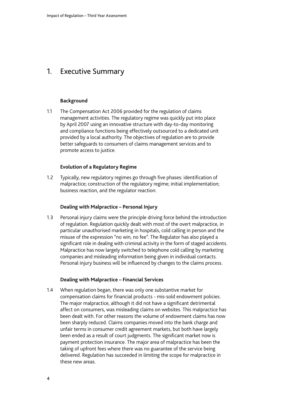### <span id="page-5-0"></span>1. Executive Summary

### **Background**

1.1 The Compensation Act 2006 provided for the regulation of claims management activities. The regulatory regime was quickly put into place by April 2007 using an innovative structure with day-to-day monitoring and compliance functions being effectively outsourced to a dedicated unit provided by a local authority. The objectives of regulation are to provide better safeguards to consumers of claims management services and to promote access to justice.

### **Evolution of a Regulatory Regime**

1.2 Typically, new regulatory regimes go through five phases: identification of malpractice; construction of the regulatory regime; initial implementation; business reaction, and the regulator reaction.

### **Dealing with Malpractice – Personal Injury**

1.3 Personal injury claims were the principle driving force behind the introduction of regulation. Regulation quickly dealt with most of the overt malpractice, in particular unauthorised marketing in hospitals, cold calling in person and the misuse of the expression "no win, no fee". The Regulator has also played a significant role in dealing with criminal activity in the form of staged accidents. Malpractice has now largely switched to telephone cold calling by marketing companies and misleading information being given in individual contacts. Personal injury business will be influenced by changes to the claims process.

### **Dealing with Malpractice – Financial Services**

1.4 When regulation began, there was only one substantive market for compensation claims for financial products - mis-sold endowment policies. The major malpractice, although it did not have a significant detrimental affect on consumers, was misleading claims on websites. This malpractice has been dealt with. For other reasons the volume of endowment claims has now been sharply reduced. Claims companies moved into the bank charge and unfair terms in consumer credit agreement markets, but both have largely been ended as a result of court judgments. The significant market now is payment protection insurance. The major area of malpractice has been the taking of upfront fees where there was no guarantee of the service being delivered. Regulation has succeeded in limiting the scope for malpractice in these new areas.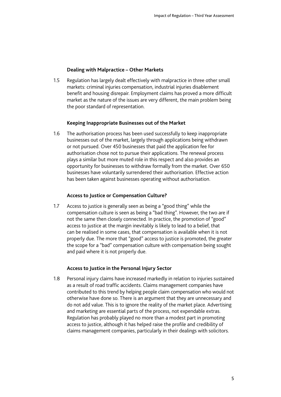### **Dealing with Malpractice – Other Markets**

1.5 Regulation has largely dealt effectively with malpractice in three other small markets: criminal injuries compensation, industrial injuries disablement benefit and housing disrepair. Employment claims has proved a more difficult market as the nature of the issues are very different, the main problem being the poor standard of representation.

### **Keeping Inappropriate Businesses out of the Market**

1.6 The authorisation process has been used successfully to keep inappropriate businesses out of the market, largely through applications being withdrawn or not pursued. Over 450 businesses that paid the application fee for authorisation chose not to pursue their applications. The renewal process plays a similar but more muted role in this respect and also provides an opportunity for businesses to withdraw formally from the market. Over 650 businesses have voluntarily surrendered their authorisation. Effective action has been taken against businesses operating without authorisation.

### **Access to Justice or Compensation Culture?**

1.7 Access to justice is generally seen as being a "good thing" while the compensation culture is seen as being a "bad thing". However, the two are if not the same then closely connected. In practice, the promotion of "good" access to justice at the margin inevitably is likely to lead to a belief, that can be realised in some cases, that compensation is available when it is not properly due. The more that "good" access to justice is promoted, the greater the scope for a "bad" compensation culture with compensation being sought and paid where it is not properly due.

### **Access to Justice in the Personal Injury Sector**

1.8 Personal injury claims have increased markedly in relation to injuries sustained as a result of road traffic accidents. Claims management companies have contributed to this trend by helping people claim compensation who would not otherwise have done so. There is an argument that they are unnecessary and do not add value. This is to ignore the reality of the market place. Advertising and marketing are essential parts of the process, not expendable extras. Regulation has probably played no more than a modest part in promoting access to justice, although it has helped raise the profile and credibility of claims management companies, particularly in their dealings with solicitors.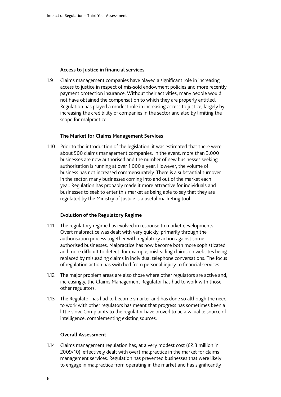### **Access to Justice in financial services**

1.9 Claims management companies have played a significant role in increasing access to justice in respect of mis-sold endowment policies and more recently payment protection insurance. Without their activities, many people would not have obtained the compensation to which they are properly entitled. Regulation has played a modest role in increasing access to justice, largely by increasing the credibility of companies in the sector and also by limiting the scope for malpractice.

### **The Market for Claims Management Services**

1.10 Prior to the introduction of the legislation, it was estimated that there were about 500 claims management companies. In the event, more than 3,000 businesses are now authorised and the number of new businesses seeking authorisation is running at over 1,000 a year. However, the volume of business has not increased commensurately. There is a substantial turnover in the sector, many businesses coming into and out of the market each year. Regulation has probably made it more attractive for individuals and businesses to seek to enter this market as being able to say that they are regulated by the Ministry of Justice is a useful marketing tool.

### **Evolution of the Regulatory Regime**

- 1.11 The regulatory regime has evolved in response to market developments. Overt malpractice was dealt with very quickly, primarily through the authorisation process together with regulatory action against some authorised businesses. Malpractice has now become both more sophisticated and more difficult to detect, for example, misleading claims on websites being replaced by misleading claims in individual telephone conversations. The focus of regulation action has switched from personal injury to financial services.
- 1.12 The major problem areas are also those where other regulators are active and, increasingly, the Claims Management Regulator has had to work with those other regulators.
- 1.13 The Regulator has had to become smarter and has done so although the need to work with other regulators has meant that progress has sometimes been a little slow. Complaints to the regulator have proved to be a valuable source of intelligence, complementing existing sources.

### **Overall Assessment**

1.14 Claims management regulation has, at a very modest cost ( $E2.3$  million in 2009/10), effectively dealt with overt malpractice in the market for claims management services. Regulation has prevented businesses that were likely to engage in malpractice from operating in the market and has significantly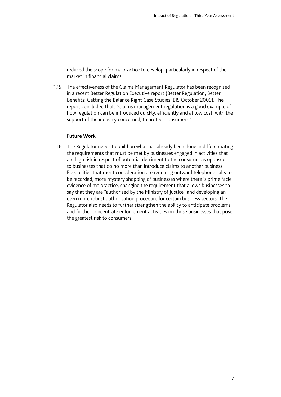reduced the scope for malpractice to develop, particularly in respect of the market in financial claims.

1.15 The effectiveness of the Claims Management Regulator has been recognised in a recent Better Regulation Executive report (Better Regulation, Better Benefits: Getting the Balance Right Case Studies, BIS October 2009). The report concluded that: "Claims management regulation is a good example of how regulation can be introduced quickly, efficiently and at low cost, with the support of the industry concerned, to protect consumers."

### **Future Work**

1.16 The Regulator needs to build on what has already been done in differentiating the requirements that must be met by businesses engaged in activities that are high risk in respect of potential detriment to the consumer as opposed to businesses that do no more than introduce claims to another business. Possibilities that merit consideration are requiring outward telephone calls to be recorded, more mystery shopping of businesses where there is prime facie evidence of malpractice, changing the requirement that allows businesses to say that they are "authorised by the Ministry of Justice" and developing an even more robust authorisation procedure for certain business sectors. The Regulator also needs to further strengthen the ability to anticipate problems and further concentrate enforcement activities on those businesses that pose the greatest risk to consumers.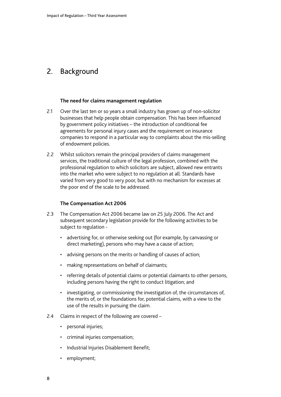### <span id="page-9-0"></span>2. Background

### **The need for claims management regulation**

- 2.1 Over the last ten or so years a small industry has grown up of non-solicitor businesses that help people obtain compensation. This has been influenced by government policy initiatives – the introduction of conditional fee agreements for personal injury cases and the requirement on insurance companies to respond in a particular way to complaints about the mis-selling of endowment policies.
- 2.2 Whilst solicitors remain the principal providers of claims management services, the traditional culture of the legal profession, combined with the professional regulation to which solicitors are subject, allowed new entrants into the market who were subject to no regulation at all. Standards have varied from very good to very poor, but with no mechanism for excesses at the poor end of the scale to be addressed.

### **The Compensation Act 2006**

- 2.3 The Compensation Act 2006 became law on 25 July 2006. The Act and subsequent secondary legislation provide for the following activities to be subject to regulation
	- advertising for, or otherwise seeking out (for example, by canvassing or direct marketing), persons who may have a cause of action;
	- advising persons on the merits or handling of causes of action;
	- making representations on behalf of claimants;
	- referring details of potential claims or potential claimants to other persons, including persons having the right to conduct litigation; and
	- investigating, or commissioning the investigation of, the circumstances of, the merits of, or the foundations for, potential claims, with a view to the use of the results in pursuing the claim.
- 2.4 Claims in respect of the following are covered
	- personal injuries;
	- • criminal injuries compensation;
	- • Industrial Injuries Disablement Benefit;
	- employment;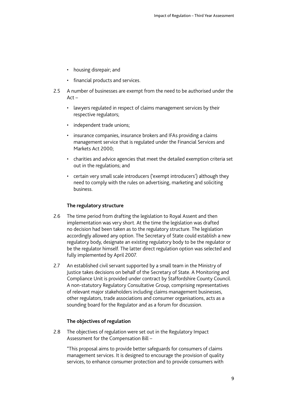- housing disrepair; and
- financial products and services.
- 2.5 A number of businesses are exempt from the need to be authorised under the Act –
	- lawyers regulated in respect of claims management services by their respective regulators;
	- independent trade unions;
	- insurance companies, insurance brokers and IFAs providing a claims management service that is regulated under the Financial Services and Markets Act 2000;
	- charities and advice agencies that meet the detailed exemption criteria set out in the regulations; and
	- certain very small scale introducers ('exempt introducers') although they need to comply with the rules on advertising, marketing and soliciting business.

### **The regulatory structure**

- 2.6 The time period from drafting the legislation to Royal Assent and then implementation was very short. At the time the legislation was drafted no decision had been taken as to the regulatory structure. The legislation accordingly allowed any option. The Secretary of State could establish a new regulatory body, designate an existing regulatory body to be the regulator or be the regulator himself. The latter direct regulation option was selected and fully implemented by April 2007.
- 2.7 An established civil servant supported by a small team in the Ministry of Justice takes decisions on behalf of the Secretary of State. A Monitoring and Compliance Unit is provided under contract by Staffordshire County Council. A non-statutory Regulatory Consultative Group, comprising representatives of relevant major stakeholders including claims management businesses, other regulators, trade associations and consumer organisations, acts as a sounding board for the Regulator and as a forum for discussion.

### **The objectives of regulation**

2.8 The objectives of regulation were set out in the Regulatory Impact Assessment for the Compensation Bill –

"This proposal aims to provide better safeguards for consumers of claims management services. It is designed to encourage the provision of quality services, to enhance consumer protection and to provide consumers with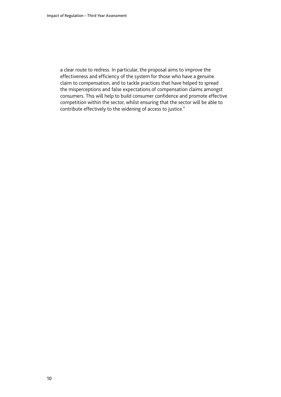a clear route to redress. In particular, the proposal aims to improve the effectiveness and efficiency of the system for those who have a genuine claim to compensation, and to tackle practices that have helped to spread the misperceptions and false expectations of compensation claims amongst consumers. This will help to build consumer confidence and promote effective competition within the sector, whilst ensuring that the sector will be able to contribute effectively to the widening of access to justice."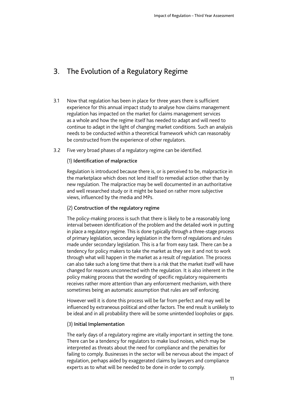### <span id="page-12-0"></span>3. The Evolution of a Regulatory Regime

- 3.1 Now that regulation has been in place for three years there is sufficient experience for this annual impact study to analyse how claims management regulation has impacted on the market for claims management services as a whole and how the regime itself has needed to adapt and will need to continue to adapt in the light of changing market conditions. Such an analysis needs to be conducted within a theoretical framework which can reasonably be constructed from the experience of other regulators.
- 3.2 Five very broad phases of a regulatory regime can be identified.

### (1) Identification of malpractice

Regulation is introduced because there is, or is perceived to be, malpractice in the marketplace which does not lend itself to remedial action other than by new regulation. The malpractice may be well documented in an authoritative and well researched study or it might be based on rather more subjective views, influenced by the media and MPs.

### (2) Construction of the regulatory regime

The policy-making process is such that there is likely to be a reasonably long interval between identification of the problem and the detailed work in putting in place a regulatory regime. This is done typically through a three-stage process of primary legislation, secondary legislation in the form of regulations and rules made under secondary legislation. This is a far from easy task. There can be a tendency for policy makers to take the market as they see it and not to work through what will happen in the market as a result of regulation. The process can also take such a long time that there is a risk that the market itself will have changed for reasons unconnected with the regulation. It is also inherent in the policy making process that the wording of specific regulatory requirements receives rather more attention than any enforcement mechanism, with there sometimes being an automatic assumption that rules are self enforcing.

However well it is done this process will be far from perfect and may well be influenced by extraneous political and other factors. The end result is unlikely to be ideal and in all probability there will be some unintended loopholes or gaps.

### (3) Initial Implementation

The early days of a regulatory regime are vitally important in setting the tone. There can be a tendency for regulators to make loud noises, which may be interpreted as threats about the need for compliance and the penalties for failing to comply. Businesses in the sector will be nervous about the impact of regulation, perhaps aided by exaggerated claims by lawyers and compliance experts as to what will be needed to be done in order to comply.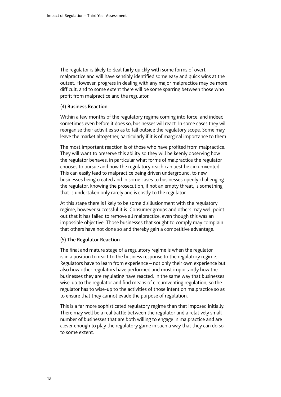The regulator is likely to deal fairly quickly with some forms of overt malpractice and will have sensibly identified some easy and quick wins at the outset. However, progress in dealing with any major malpractice may be more difficult, and to some extent there will be some sparring between those who profit from malpractice and the regulator.

### (4) Business Reaction

Within a few months of the regulatory regime coming into force, and indeed sometimes even before it does so, businesses will react. In some cases they will reorganise their activities so as to fall outside the regulatory scope. Some may leave the market altogether, particularly if it is of marginal importance to them.

The most important reaction is of those who have profited from malpractice. They will want to preserve this ability so they will be keenly observing how the regulator behaves, in particular what forms of malpractice the regulator chooses to pursue and how the regulatory reach can best be circumvented. This can easily lead to malpractice being driven underground, to new businesses being created and in some cases to businesses openly challenging the regulator, knowing the prosecution, if not an empty threat, is something that is undertaken only rarely and is costly to the regulator.

At this stage there is likely to be some disillusionment with the regulatory regime, however successful it is. Consumer groups and others may well point out that it has failed to remove all malpractice, even though this was an impossible objective. Those businesses that sought to comply may complain that others have not done so and thereby gain a competitive advantage.

### (5) The Regulator Reaction

The final and mature stage of a regulatory regime is when the regulator is in a position to react to the business response to the regulatory regime. Regulators have to learn from experience – not only their own experience but also how other regulators have performed and most importantly how the businesses they are regulating have reacted. In the same way that businesses wise-up to the regulator and find means of circumventing regulation, so the regulator has to wise-up to the activities of those intent on malpractice so as to ensure that they cannot evade the purpose of regulation.

This is a far more sophisticated regulatory regime than that imposed initially. There may well be a real battle between the regulator and a relatively small number of businesses that are both willing to engage in malpractice and are clever enough to play the regulatory game in such a way that they can do so to some extent.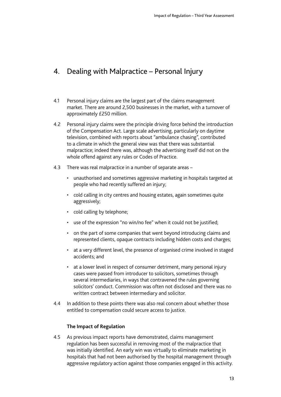### <span id="page-14-0"></span>4. Dealing with Malpractice – Personal Injury

- 4.1 Personal injury claims are the largest part of the claims management market. There are around 2,500 businesses in the market, with a turnover of approximately £250 million.
- 4.2 Personal injury claims were the principle driving force behind the introduction of the Compensation Act. Large scale advertising, particularly on daytime television, combined with reports about "ambulance chasing", contributed to a climate in which the general view was that there was substantial malpractice; indeed there was, although the advertising itself did not on the whole offend against any rules or Codes of Practice.
- 4.3 There was real malpractice in a number of separate areas
	- unauthorised and sometimes aggressive marketing in hospitals targeted at people who had recently suffered an injury;
	- cold calling in city centres and housing estates, again sometimes quite aggressively;
	- cold calling by telephone;
	- use of the expression "no win/no fee" when it could not be justified;
	- on the part of some companies that went beyond introducing claims and represented clients, opaque contracts including hidden costs and charges;
	- at a very different level, the presence of organised crime involved in staged accidents; and
	- at a lower level in respect of consumer detriment, many personal injury cases were passed from introducer to solicitors, sometimes through several intermediaries, in ways that contravened the rules governing solicitors' conduct. Commission was often not disclosed and there was no written contract between intermediary and solicitor.
- 4.4 In addition to these points there was also real concern about whether those entitled to compensation could secure access to justice.

### **The Impact of Regulation**

4.5 As previous impact reports have demonstrated, claims management regulation has been successful in removing most of the malpractice that was initially identified. An early win was virtually to eliminate marketing in hospitals that had not been authorised by the hospital management through aggressive regulatory action against those companies engaged in this activity.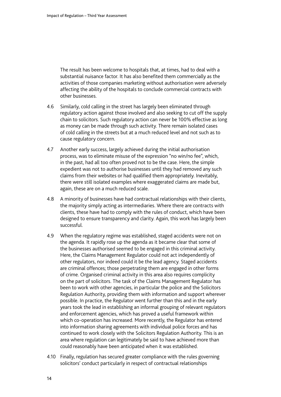The result has been welcome to hospitals that, at times, had to deal with a substantial nuisance factor. It has also benefited them commercially as the activities of those companies marketing without authorisation were adversely affecting the ability of the hospitals to conclude commercial contracts with other businesses.

- 4.6 Similarly, cold calling in the street has largely been eliminated through regulatory action against those involved and also seeking to cut off the supply chain to solicitors. Such regulatory action can never be 100% effective as long as money can be made through such activity. There remain isolated cases of cold calling in the streets but at a much reduced level and not such as to cause regulatory concern.
- 4.7 Another early success, largely achieved during the initial authorisation process, was to eliminate misuse of the expression "no win/no fee", which, in the past, had all too often proved not to be the case. Here, the simple expedient was not to authorise businesses until they had removed any such claims from their websites or had qualified them appropriately. Inevitably, there were still isolated examples where exaggerated claims are made but, again, these are on a much reduced scale.
- 4.8 A minority of businesses have had contractual relationships with their clients, the majority simply acting as intermediaries. Where there are contracts with clients, these have had to comply with the rules of conduct, which have been designed to ensure transparency and clarity. Again, this work has largely been successful.
- 4.9 When the regulatory regime was established, staged accidents were not on the agenda. It rapidly rose up the agenda as it became clear that some of the businesses authorised seemed to be engaged in this criminal activity. Here, the Claims Management Regulator could not act independently of other regulators, nor indeed could it be the lead agency. Staged accidents are criminal offences; those perpetrating them are engaged in other forms of crime. Organised criminal activity in this area also requires complicity on the part of solicitors. The task of the Claims Management Regulator has been to work with other agencies, in particular the police and the Solicitors Regulation Authority, providing them with information and support wherever possible. In practice, the Regulator went further than this and in the early years took the lead in establishing an informal grouping of relevant regulators and enforcement agencies, which has proved a useful framework within which co-operation has increased. More recently, the Regulator has entered into information sharing agreements with individual police forces and has continued to work closely with the Solicitors Regulation Authority. This is an area where regulation can legitimately be said to have achieved more than could reasonably have been anticipated when it was established.
- 4.10 Finally, regulation has secured greater compliance with the rules governing solicitors' conduct particularly in respect of contractual relationships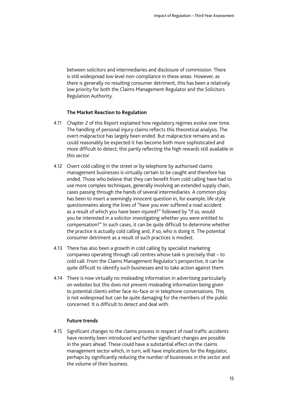between solicitors and intermediaries and disclosure of commission. There is still widespread low level non-compliance in these areas. However, as there is generally no resulting consumer detriment, this has been a relatively low priority for both the Claims Management Regulator and the Solicitors Regulation Authority.

### **The Market Reaction to Regulation**

- 4.11 Chapter 2 of this Report explained how regulatory regimes evolve over time. The handling of personal injury claims reflects this theoretical analysis. The overt malpractice has largely been ended. But malpractice remains and as could reasonably be expected it has become both more sophisticated and more difficult to detect, this partly reflecting the high rewards still available in this sector.
- 4.12 Overt cold calling in the street or by telephone by authorised claims management businesses is virtually certain to be caught and therefore has ended. Those who believe that they can benefit from cold calling have had to use more complex techniques, generally involving an extended supply chain, cases passing through the hands of several intermediaries. A common ploy has been to insert a seemingly innocent question in, for example, life style questionnaires along the lines of "have you ever suffered a road accident as a result of which you have been injured?" followed by "If so, would you be interested in a solicitor investigating whether you were entitled to compensation?" In such cases, it can be quite difficult to determine whether the practice is actually cold calling and, if so, who is doing it. The potential consumer detriment as a result of such practices is modest.
- 4.13 There has also been a growth in cold calling by specialist marketing companies operating through call centres whose task is precisely that – to cold call. From the Claims Management Regulator's perspective, it can be quite difficult to identify such businesses and to take action against them.
- 4.14 There is now virtually no misleading information in advertising particularly on websites but this does not prevent misleading information being given to potential clients either face-to-face or in telephone conversations. This is not widespread but can be quite damaging for the members of the public concerned. It is difficult to detect and deal with.

### **Future trends**

4.15 Significant changes to the claims process in respect of road traffic accidents have recently been introduced and further significant changes are possible in the years ahead. These could have a substantial effect on the claims management sector which, in turn, will have implications for the Regulator, perhaps by significantly reducing the number of businesses in the sector and the volume of their business.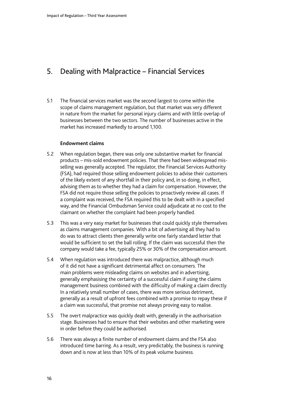### <span id="page-17-0"></span>5. Dealing with Malpractice – Financial Services

5.1 The financial services market was the second largest to come within the scope of claims management regulation, but that market was very different in nature from the market for personal injury claims and with little overlap of businesses between the two sectors. The number of businesses active in the market has increased markedly to around 1,100.

### **Endowment claims**

- 5.2 When regulation began, there was only one substantive market for financial products – mis-sold endowment policies. That there had been widespread misselling was generally accepted. The regulator, the Financial Services Authority (FSA), had required those selling endowment policies to advise their customers of the likely extent of any shortfall in their policy and, in so doing, in effect, advising them as to whether they had a claim for compensation. However, the FSA did not require those selling the policies to proactively review all cases. If a complaint was received, the FSA required this to be dealt with in a specified way, and the Financial Ombudsman Service could adjudicate at no cost to the claimant on whether the complaint had been properly handled.
- 5.3 This was a very easy market for businesses that could quickly style themselves as claims management companies. With a bit of advertising all they had to do was to attract clients then generally write one fairly standard letter that would be sufficient to set the ball rolling. If the claim was successful then the company would take a fee, typically 25% or 30% of the compensation amount.
- 5.4 When regulation was introduced there was malpractice, although much of it did not have a significant detrimental affect on consumers. The main problems were misleading claims on websites and in advertising, generally emphasising the certainty of a successful claim if using the claims management business combined with the difficulty of making a claim directly. In a relatively small number of cases, there was more serious detriment, generally as a result of upfront fees combined with a promise to repay these if a claim was successful, that promise not always proving easy to realise.
- 5.5 The overt malpractice was quickly dealt with, generally in the authorisation stage. Businesses had to ensure that their websites and other marketing were in order before they could be authorised.
- 5.6 There was always a finite number of endowment claims and the FSA also introduced time barring. As a result, very predictably, the business is running down and is now at less than 10% of its peak volume business.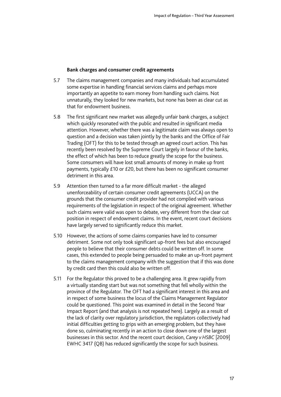### **Bank charges and consumer credit agreements**

- 5.7 The claims management companies and many individuals had accumulated some expertise in handling financial services claims and perhaps more importantly an appetite to earn money from handling such claims. Not unnaturally, they looked for new markets, but none has been as clear cut as that for endowment business.
- 5.8 The first significant new market was allegedly unfair bank charges, a subject which quickly resonated with the public and resulted in significant media attention. However, whether there was a legitimate claim was always open to question and a decision was taken jointly by the banks and the Office of Fair Trading (OFT) for this to be tested through an agreed court action. This has recently been resolved by the Supreme Court largely in favour of the banks, the effect of which has been to reduce greatly the scope for the business. Some consumers will have lost small amounts of money in make up front payments, typically £10 or £20, but there has been no significant consumer detriment in this area.
- 5.9 Attention then turned to a far more difficult market the alleged unenforceability of certain consumer credit agreements (UCCA) on the grounds that the consumer credit provider had not complied with various requirements of the legislation in respect of the original agreement. Whether such claims were valid was open to debate, very different from the clear cut position in respect of endowment claims. In the event, recent court decisions have largely served to significantly reduce this market.
- 5.10 However, the actions of some claims companies have led to consumer detriment. Some not only took significant up-front fees but also encouraged people to believe that their consumer debts could be written off. In some cases, this extended to people being persuaded to make an up-front payment to the claims management company with the suggestion that if this was done by credit card then this could also be written off.
- 5.11 For the Regulator this proved to be a challenging area. It grew rapidly from a virtually standing start but was not something that fell wholly within the province of the Regulator. The OFT had a significant interest in this area and in respect of some business the locus of the Claims Management Regulator could be questioned. This point was examined in detail in the Second Year Impact Report (and that analysis is not repeated here). Largely as a result of the lack of clarity over regulatory jurisdiction, the regulators collectively had initial difficulties getting to grips with an emerging problem, but they have done so, culminating recently in an action to close down one of the largest businesses in this sector. And the recent court decision, *Carey v HSBC* [2009] EWHC 3417 (QB) has reduced significantly the scope for such business.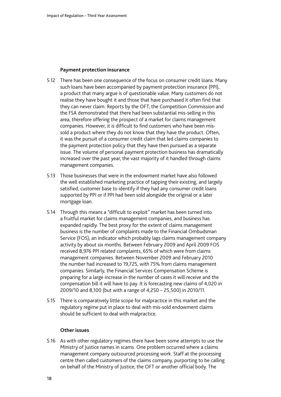### **Payment protection insurance**

- 5.12 There has been one consequence of the focus on consumer credit loans. Many such loans have been accompanied by payment protection insurance (PPI), a product that many argue is of questionable value. Many customers do not realise they have bought it and those that have purchased it often find that they can never claim. Reports by the OFT, the Competition Commission and the FSA demonstrated that there had been substantial mis-selling in this area, therefore offering the prospect of a market for claims management companies. However, it is difficult to find customers who have been missold a product where they do not know that they have the product. Often, it was the pursuit of a consumer credit claim that led claims companies to the payment protection policy that they have then pursued as a separate issue. The volume of personal payment protection business has dramatically increased over the past year, the vast majority of it handled through claims management companies.
- 5.13 Those businesses that were in the endowment market have also followed the well established marketing practice of tapping their existing, and largely satisfied, customer base to identify if they had any consumer credit loans supported by PPI or if PPI had been sold alongside the original or a later mortgage loan.
- 5.14 Through this means a "difficult to exploit" market has been turned into a fruitful market for claims management companies, and business has expanded rapidly. The best proxy for the extent of claims management business is the number of complaints made to the Financial Ombudsman Service (FOS), an indicator which probably lags claims management company activity by about six months. Between February 2009 and April 2009 FOS received 8,976 PPI related complaints, 65% of which were from claims management companies. Between November 2009 and February 2010 the number had increased to 19,725, with 75% from claims management companies. Similarly, the Financial Services Compensation Scheme is preparing for a large increase in the number of cases it will receive and the compensation bill it will have to pay. It is forecasting new claims of 4,020 in 2009/10 and 8,100 (but with a range of 4,250 – 25,500) in 2010/11.
- 5.15 There is comparatively little scope for malpractice in this market and the regulatory regime put in place to deal with mis-sold endowment claims should be sufficient to deal with malpractice.

### **Other issues**

5.16 As with other regulatory regimes there have been some attempts to use the Ministry of Justice names in scams. One problem occurred where a claims management company outsourced processing work. Staff at the processing centre then called customers of the claims company, purporting to be calling on behalf of the Ministry of Justice, the OFT or another official body. The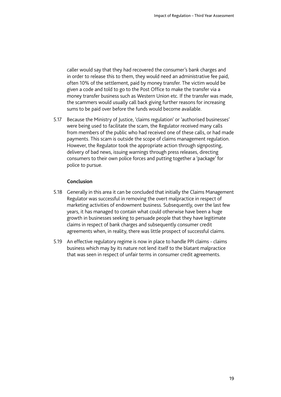caller would say that they had recovered the consumer's bank charges and in order to release this to them, they would need an administrative fee paid, often 10% of the settlement, paid by money transfer. The victim would be given a code and told to go to the Post Office to make the transfer via a money transfer business such as Western Union etc. If the transfer was made, the scammers would usually call back giving further reasons for increasing sums to be paid over before the funds would become available.

5.17 Because the Ministry of Justice, 'claims regulation' or 'authorised businesses' were being used to facilitate the scam, the Regulator received many calls from members of the public who had received one of these calls, or had made payments. This scam is outside the scope of claims management regulation. However, the Regulator took the appropriate action through signposting, delivery of bad news, issuing warnings through press releases, directing consumers to their own police forces and putting together a 'package' for police to pursue.

### **Conclusion**

- 5.18 Generally in this area it can be concluded that initially the Claims Management Regulator was successful in removing the overt malpractice in respect of marketing activities of endowment business. Subsequently, over the last few years, it has managed to contain what could otherwise have been a huge growth in businesses seeking to persuade people that they have legitimate claims in respect of bank charges and subsequently consumer credit agreements when, in reality, there was little prospect of successful claims.
- 5.19 An effective regulatory regime is now in place to handle PPI claims claims business which may by its nature not lend itself to the blatant malpractice that was seen in respect of unfair terms in consumer credit agreements.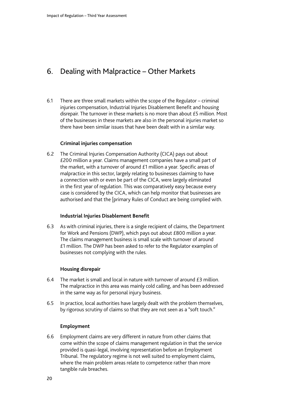### <span id="page-21-0"></span>6. Dealing with Malpractice – Other Markets

6.1 There are three small markets within the scope of the Regulator – criminal injuries compensation, Industrial Injuries Disablement Benefit and housing disrepair. The turnover in these markets is no more than about £5 million. Most of the businesses in these markets are also in the personal injuries market so there have been similar issues that have been dealt with in a similar way.

### **Criminal injuries compensation**

6.2 The Criminal Injuries Compensation Authority (CICA) pays out about £200 million a year. Claims management companies have a small part of the market, with a turnover of around £1 million a year. Specific areas of malpractice in this sector, largely relating to businesses claiming to have a connection with or even be part of the CICA, were largely eliminated in the first year of regulation. This was comparatively easy because every case is considered by the CICA, which can help monitor that businesses are authorised and that the [primary Rules of Conduct are being complied with.

### **Industrial Injuries Disablement Benefit**

6.3 As with criminal injuries, there is a single recipient of claims, the Department for Work and Pensions (DWP), which pays out about £800 million a year. The claims management business is small scale with turnover of around £1 million. The DWP has been asked to refer to the Regulator examples of businesses not complying with the rules.

### **Housing disrepair**

- 6.4 The market is small and local in nature with turnover of around £3 million. The malpractice in this area was mainly cold calling, and has been addressed in the same way as for personal injury business.
- 6.5 In practice, local authorities have largely dealt with the problem themselves, by rigorous scrutiny of claims so that they are not seen as a "soft touch."

### **Employment**

6.6 Employment claims are very different in nature from other claims that come within the scope of claims management regulation in that the service provided is quasi-legal, involving representation before an Employment Tribunal. The regulatory regime is not well suited to employment claims, where the main problem areas relate to competence rather than more tangible rule breaches.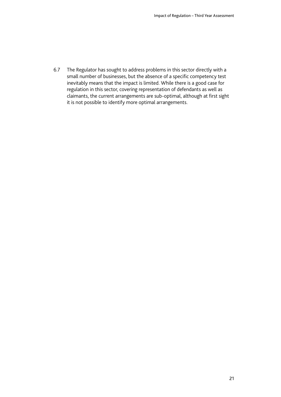6.7 The Regulator has sought to address problems in this sector directly with a small number of businesses, but the absence of a specific competency test inevitably means that the impact is limited. While there is a good case for regulation in this sector, covering representation of defendants as well as claimants, the current arrangements are sub-optimal, although at first sight it is not possible to identify more optimal arrangements.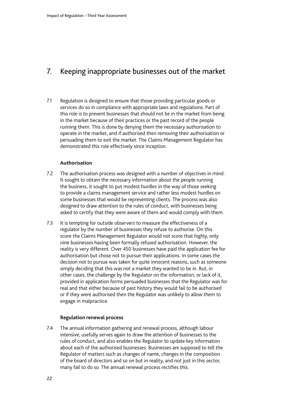### <span id="page-23-0"></span>7. Keeping inappropriate businesses out of the market

7.1 Regulation is designed to ensure that those providing particular goods or services do so in compliance with appropriate laws and regulations. Part of this role is to prevent businesses that should not be in the market from being in the market because of their practices or the past record of the people running them. This is done by denying them the necessary authorisation to operate in the market, and if authorised then removing their authorisation or persuading them to exit the market. The Claims Management Regulator has demonstrated this role effectively since inception.

### **Authorisation**

- 7.2 The authorisation process was designed with a number of objectives in mind. It sought to obtain the necessary information about the people running the business, it sought to put modest hurdles in the way of those seeking to provide a claims management service and rather less modest hurdles on some businesses that would be representing clients. The process was also designed to draw attention to the rules of conduct, with businesses being asked to certify that they were aware of them and would comply with them.
- 7.3 It is tempting for outside observers to measure the effectiveness of a regulator by the number of businesses they refuse to authorise. On this score the Claims Management Regulator would not score that highly, only nine businesses having been formally refused authorisation. However, the reality is very different. Over 450 businesses have paid the application fee for authorisation but chose not to pursue their applications. In some cases the decision not to pursue was taken for quite innocent reasons, such as someone simply deciding that this was not a market they wanted to be in. But, in other cases, the challenge by the Regulator on the information, or lack of it, provided in application forms persuaded businesses that the Regulator was for real and that either because of past history they would fail to be authorised or if they were authorised then the Regulator was unlikely to allow them to engage in malpractice.

### **Regulation renewal process**

7.4 The annual information gathering and renewal process, although labour intensive, usefully serves again to draw the attention of businesses to the rules of conduct, and also enables the Regulator to update key information about each of the authorised businesses. Businesses are supposed to tell the Regulator of matters such as changes of name, changes in the composition of the board of directors and so on but in reality, and not just in this sector, many fail to do so. The annual renewal process rectifies this.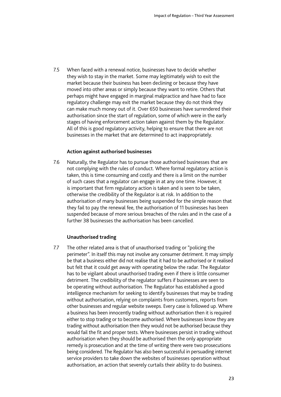7.5 When faced with a renewal notice, businesses have to decide whether they wish to stay in the market. Some may legitimately wish to exit the market because their business has been declining or because they have moved into other areas or simply because they want to retire. Others that perhaps might have engaged in marginal malpractice and have had to face regulatory challenge may exit the market because they do not think they can make much money out of it. Over 650 businesses have surrendered their authorisation since the start of regulation, some of which were in the early stages of having enforcement action taken against them by the Regulator. All of this is good regulatory activity, helping to ensure that there are not businesses in the market that are determined to act inappropriately.

### **Action against authorised businesses**

7.6 Naturally, the Regulator has to pursue those authorised businesses that are not complying with the rules of conduct. Where formal regulatory action is taken, this is time consuming and costly and there is a limit on the number of such cases that a regulator can engage in at any one time. However, it is important that firm regulatory action is taken and is seen to be taken, otherwise the credibility of the Regulator is at risk. In addition to the authorisation of many businesses being suspended for the simple reason that they fail to pay the renewal fee, the authorisation of 11 businesses has been suspended because of more serious breaches of the rules and in the case of a further 38 businesses the authorisation has been cancelled.

### **Unauthorised trading**

7.7 The other related area is that of unauthorised trading or "policing the perimeter". In itself this may not involve any consumer detriment. It may simply be that a business either did not realise that it had to be authorised or it realised but felt that it could get away with operating below the radar. The Regulator has to be vigilant about unauthorised trading even if there is little consumer detriment. The credibility of the regulator suffers if businesses are seen to be operating without authorisation. The Regulator has established a good intelligence mechanism for seeking to identify businesses that may be trading without authorisation, relying on complaints from customers, reports from other businesses and regular website sweeps. Every case is followed up. Where a business has been innocently trading without authorisation then it is required either to stop trading or to become authorised. Where businesses know they are trading without authorisation then they would not be authorised because they would fail the fit and proper tests. Where businesses persist in trading without authorisation when they should be authorised then the only appropriate remedy is prosecution and at the time of writing there were two prosecutions being considered. The Regulator has also been successful in persuading internet service providers to take down the websites of businesses operation without authorisation, an action that severely curtails their ability to do business.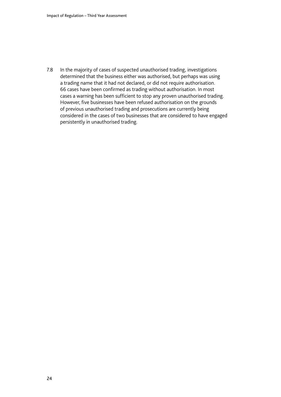7.8 In the majority of cases of suspected unauthorised trading, investigations determined that the business either was authorised, but perhaps was using a trading name that it had not declared, or did not require authorisation. 66 cases have been confirmed as trading without authorisation. In most cases a warning has been sufficient to stop any proven unauthorised trading. However, five businesses have been refused authorisation on the grounds of previous unauthorised trading and prosecutions are currently being considered in the cases of two businesses that are considered to have engaged persistently in unauthorised trading.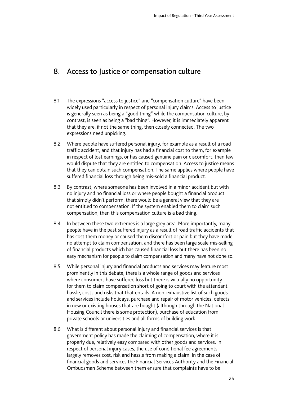### <span id="page-26-0"></span>8. Access to Justice or compensation culture

- 8.1 The expressions "access to justice" and "compensation culture" have been widely used particularly in respect of personal injury claims. Access to justice is generally seen as being a "good thing" while the compensation culture, by contrast, is seen as being a "bad thing". However, it is immediately apparent that they are, if not the same thing, then closely connected. The two expressions need unpicking.
- 8.2 Where people have suffered personal injury, for example as a result of a road traffic accident, and that injury has had a financial cost to them, for example in respect of lost earnings, or has caused genuine pain or discomfort, then few would dispute that they are entitled to compensation. Access to justice means that they can obtain such compensation. The same applies where people have suffered financial loss through being mis-sold a financial product.
- 8.3 By contrast, where someone has been involved in a minor accident but with no injury and no financial loss or where people bought a financial product that simply didn't perform, there would be a general view that they are not entitled to compensation. If the system enabled them to claim such compensation, then this compensation culture is a bad thing.
- 8.4 In between these two extremes is a large grey area. More importantly, many people have in the past suffered injury as a result of road traffic accidents that has cost them money or caused them discomfort or pain but they have made no attempt to claim compensation, and there has been large scale mis-selling of financial products which has caused financial loss but there has been no easy mechanism for people to claim compensation and many have not done so.
- 8.5 While personal injury and financial products and services may feature most prominently in this debate, there is a whole range of goods and services where consumers have suffered loss but there is virtually no opportunity for them to claim compensation short of going to court with the attendant hassle, costs and risks that that entails. A non-exhaustive list of such goods and services include holidays, purchase and repair of motor vehicles, defects in new or existing houses that are bought (although through the National Housing Council there is some protection), purchase of education from private schools or universities and all forms of building work.
- 8.6 What is different about personal injury and financial services is that government policy has made the claiming of compensation, where it is properly due, relatively easy compared with other goods and services. In respect of personal injury cases, the use of conditional fee agreements largely removes cost, risk and hassle from making a claim. In the case of financial goods and services the Financial Services Authority and the Financial Ombudsman Scheme between them ensure that complaints have to be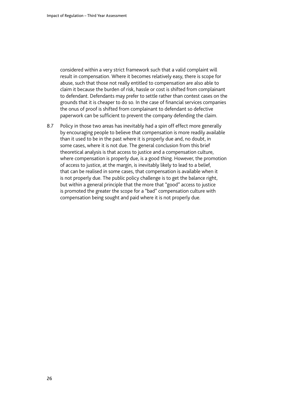considered within a very strict framework such that a valid complaint will result in compensation. Where it becomes relatively easy, there is scope for abuse, such that those not really entitled to compensation are also able to claim it because the burden of risk, hassle or cost is shifted from complainant to defendant. Defendants may prefer to settle rather than contest cases on the grounds that it is cheaper to do so. In the case of financial services companies the onus of proof is shifted from complainant to defendant so defective paperwork can be sufficient to prevent the company defending the claim.

8.7 Policy in those two areas has inevitably had a spin off effect more generally by encouraging people to believe that compensation is more readily available than it used to be in the past where it is properly due and, no doubt, in some cases, where it is not due. The general conclusion from this brief theoretical analysis is that access to justice and a compensation culture, where compensation is properly due, is a good thing. However, the promotion of access to justice, at the margin, is inevitably likely to lead to a belief, that can be realised in some cases, that compensation is available when it is not properly due. The public policy challenge is to get the balance right, but within a general principle that the more that "good" access to justice is promoted the greater the scope for a "bad" compensation culture with compensation being sought and paid where it is not properly due.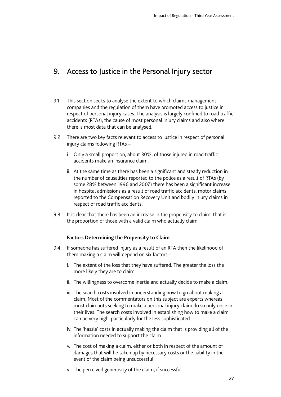### <span id="page-28-0"></span>9. Access to Justice in the Personal Injury sector

- 9.1 This section seeks to analyse the extent to which claims management companies and the regulation of them have promoted access to justice in respect of personal injury cases. The analysis is largely confined to road traffic accidents (RTAs), the cause of most personal injury claims and also where there is most data that can be analysed.
- 9.2 There are two key facts relevant to access to justice in respect of personal injury claims following RTAs –
	- i. Only a small proportion, about 30%, of those injured in road traffic accidents make an insurance claim.
	- ii. At the same time as there has been a significant and steady reduction in the number of causalities reported to the police as a result of RTAs (by some 28% between 1996 and 2007) there has been a significant increase in hospital admissions as a result of road traffic accidents, motor claims reported to the Compensation Recovery Unit and bodily injury claims in respect of road traffic accidents.
- 9.3 It is clear that there has been an increase in the propensity to claim, that is the proportion of those with a valid claim who actually claim.

### **Factors Determining the Propensity to Claim**

- 9.4 If someone has suffered injury as a result of an RTA then the likelihood of them making a claim will depend on six factors –
	- i. The extent of the loss that they have suffered. The greater the loss the more likely they are to claim.
	- ii. The willingness to overcome inertia and actually decide to make a claim.
	- iii. The search costs involved in understanding how to go about making a claim. Most of the commentators on this subject are experts whereas, most claimants seeking to make a personal injury claim do so only once in their lives. The search costs involved in establishing how to make a claim can be very high, particularly for the less sophisticated.
	- iv. The 'hassle' costs in actually making the claim that is providing all of the information needed to support the claim.
	- v. The cost of making a claim, either or both in respect of the amount of damages that will be taken up by necessary costs or the liability in the event of the claim being unsuccessful.
	- vi. The perceived generosity of the claim, if successful.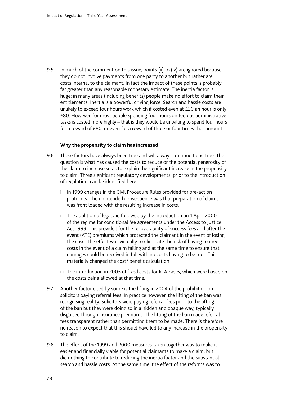9.5 In much of the comment on this issue, points (ii) to (iv) are ignored because they do not involve payments from one party to another but rather are costs internal to the claimant. In fact the impact of these points is probably far greater than any reasonable monetary estimate. The inertia factor is huge; in many areas (including benefits) people make no effort to claim their entitlements. Inertia is a powerful driving force. Search and hassle costs are unlikely to exceed four hours work which if costed even at £20 an hour is only £80. However, for most people spending four hours on tedious administrative tasks is costed more highly – that is they would be unwilling to spend four hours for a reward of £80, or even for a reward of three or four times that amount.

### **Why the propensity to claim has increased**

- 9.6 These factors have always been true and will always continue to be true. The question is what has caused the costs to reduce or the potential generosity of the claim to increase so as to explain the significant increase in the propensity to claim. Three significant regulatory developments, prior to the introduction of regulation, can be identified here –
	- i. In 1999 changes in the Civil Procedure Rules provided for pre-action protocols. The unintended consequence was that preparation of claims was front loaded with the resulting increase in costs.
	- ii. The abolition of legal aid followed by the introduction on 1 April 2000 of the regime for conditional fee agreements under the Access to Justice Act 1999. This provided for the recoverability of success fees and after the event (ATE) premiums which protected the claimant in the event of losing the case. The effect was virtually to eliminate the risk of having to meet costs in the event of a claim failing and at the same time to ensure that damages could be received in full with no costs having to be met. This materially changed the cost/ benefit calculation.
	- iii. The introduction in 2003 of fixed costs for RTA cases, which were based on the costs being allowed at that time.
- 9.7 Another factor cited by some is the lifting in 2004 of the prohibition on solicitors paying referral fees. In practice however, the lifting of the ban was recognising reality. Solicitors were paying referral fees prior to the lifting of the ban but they were doing so in a hidden and opaque way, typically disguised through insurance premiums. The lifting of the ban made referral fees transparent rather than permitting them to be made. There is therefore no reason to expect that this should have led to any increase in the propensity to claim.
- 9.8 The effect of the 1999 and 2000 measures taken together was to make it easier and financially viable for potential claimants to make a claim, but did nothing to contribute to reducing the inertia factor and the substantial search and hassle costs. At the same time, the effect of the reforms was to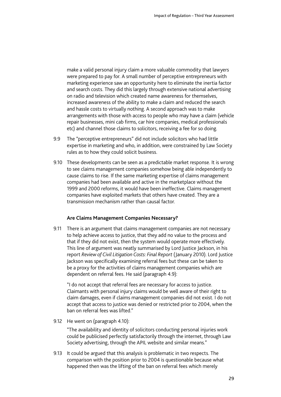make a valid personal injury claim a more valuable commodity that lawyers were prepared to pay for. A small number of perceptive entrepreneurs with marketing experience saw an opportunity here to eliminate the inertia factor and search costs. They did this largely through extensive national advertising on radio and television which created name awareness for themselves, increased awareness of the ability to make a claim and reduced the search and hassle costs to virtually nothing. A second approach was to make arrangements with those with access to people who may have a claim (vehicle repair businesses, mini cab firms, car hire companies, medical professionals etc) and channel those claims to solicitors, receiving a fee for so doing.

- 9.9 The "perceptive entrepreneurs" did not include solicitors who had little expertise in marketing and who, in addition, were constrained by Law Society rules as to how they could solicit business.
- 9.10 These developments can be seen as a predictable market response. It is wrong to see claims management companies somehow being able independently to cause claims to rise. If the same marketing expertise of claims management companies had been available and active in the marketplace without the 1999 and 2000 reforms, it would have been ineffective. Claims management companies have exploited markets that others have created. They are a transmission mechanism rather than causal factor.

### **Are Claims Management Companies Necessary?**

9.11 There is an argument that claims management companies are not necessary to help achieve access to justice, that they add no value to the process and that if they did not exist, then the system would operate more effectively. This line of argument was neatly summarised by Lord Justice Jackson, in his report *Review of Civil Litigation Costs: Final Report* (January 2010). Lord Justice Jackson was specifically examining referral fees but these can be taken to be a proxy for the activities of claims management companies which are dependent on referral fees. He said (paragraph 4.9):

"I do not accept that referral fees are necessary for access to justice. Claimants with personal injury claims would be well aware of their right to claim damages, even if claims management companies did not exist. I do not accept that access to justice was denied or restricted prior to 2004, when the ban on referral fees was lifted."

9.12 He went on (paragraph 4.10):

"The availability and identity of solicitors conducting personal injuries work could be publicised perfectly satisfactorily through the internet, through Law Society advertising, through the APIL website and similar means."

9.13 It could be argued that this analysis is problematic in two respects. The comparison with the position prior to 2004 is questionable because what happened then was the lifting of the ban on referral fees which merely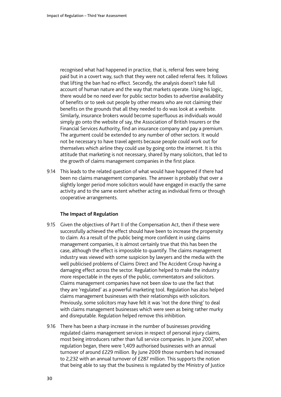recognised what had happened in practice, that is, referral fees were being paid but in a covert way, such that they were not called referral fees. It follows that lifting the ban had no effect. Secondly, the analysis doesn't take full account of human nature and the way that markets operate. Using his logic, there would be no need ever for public sector bodies to advertise availability of benefits or to seek out people by other means who are not claiming their benefits on the grounds that all they needed to do was look at a website. Similarly, insurance brokers would become superfluous as individuals would simply go onto the website of say, the Association of British Insurers or the Financial Services Authority, find an insurance company and pay a premium. The argument could be extended to any number of other sectors. It would not be necessary to have travel agents because people could work out for themselves which airline they could use by going onto the internet. It is this attitude that marketing is not necessary, shared by many solicitors, that led to the growth of claims management companies in the first place.

9.14 This leads to the related question of what would have happened if there had been no claims management companies. The answer is probably that over a slightly longer period more solicitors would have engaged in exactly the same activity and to the same extent whether acting as individual firms or through cooperative arrangements.

### **The Impact of Regulation**

- 9.15 Given the objectives of Part II of the Compensation Act, then if these were successfully achieved the effect should have been to increase the propensity to claim. As a result of the public being more confident in using claims management companies, it is almost certainly true that this has been the case, although the effect is impossible to quantify. The claims management industry was viewed with some suspicion by lawyers and the media with the well publicised problems of Claims Direct and The Accident Group having a damaging effect across the sector. Regulation helped to make the industry more respectable in the eyes of the public, commentators and solicitors. Claims management companies have not been slow to use the fact that they are 'regulated' as a powerful marketing tool. Regulation has also helped claims management businesses with their relationships with solicitors. Previously, some solicitors may have felt it was 'not the done thing' to deal with claims management businesses which were seen as being rather murky and disreputable. Regulation helped remove this inhibition.
- 9.16 There has been a sharp increase in the number of businesses providing regulated claims management services in respect of personal injury claims, most being introducers rather than full service companies. In June 2007, when regulation began, there were 1,409 authorised businesses with an annual turnover of around £229 million. By June 2009 those numbers had increased to 2,232 with an annual turnover of £287 million. This supports the notion that being able to say that the business is regulated by the Ministry of Justice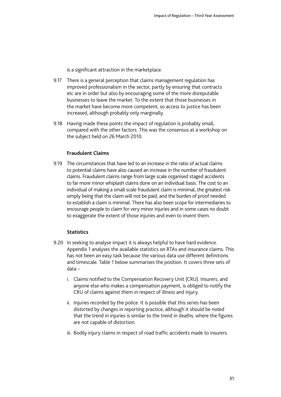is a significant attraction in the marketplace.

- 9.17 There is a general perception that claims management regulation has improved professionalism in the sector, partly by ensuring that contracts etc are in order but also by encouraging some of the more disreputable businesses to leave the market. To the extent that those businesses in the market have become more competent, so access to justice has been increased, although probably only marginally.
- 9.18 Having made these points the impact of regulation is probably small, compared with the other factors. This was the consensus at a workshop on the subject held on 26 March 2010.

### **Fraudulent Claims**

9.19 The circumstances that have led to an increase in the ratio of actual claims to potential claims have also caused an increase in the number of fraudulent claims. Fraudulent claims range from large scale organised staged accidents to far more minor whiplash claims done on an individual basis. The cost to an individual of making a small scale fraudulent claim is minimal, the greatest risk simply being that the claim will not be paid, and the burden of proof needed to establish a claim is minimal. There has also been scope for intermediaries to encourage people to claim for very minor injuries and in some cases no doubt to exaggerate the extent of those injuries and even to invent them.

### **Statistics**

- 9.20 In seeking to analyse impact it is always helpful to have hard evidence. Appendix 1 analyses the available statistics on RTAs and insurance claims. This has not been an easy task because the various data use different definitions and timescale. Table 1 below summarises the position. It covers three sets of data –
	- i. Claims notified to the Compensation Recovery Unit (CRU). Insurers, and anyone else who makes a compensation payment, is obliged to notify the CRU of claims against them in respect of illness and injury.
	- ii. Injuries recorded by the police. It is possible that this series has been distorted by changes in reporting practice, although it should be noted that the trend in injuries is similar to the trend in deaths, where the figures are not capable of distortion.
	- iii. Bodily injury claims in respect of road traffic accidents made to insurers.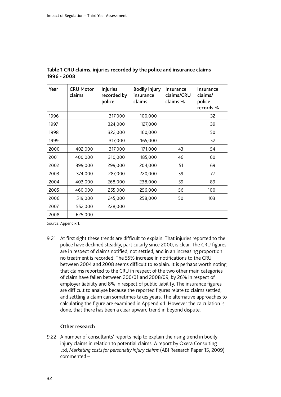| Year | <b>CRU Motor</b><br>claims | <b>Injuries</b><br>recorded by<br>police | <b>Bodily injury</b><br>insurance<br>claims | <b>Insurance</b><br>claims/CRU<br>claims % | Insurance<br>claims/<br>police<br>records% |
|------|----------------------------|------------------------------------------|---------------------------------------------|--------------------------------------------|--------------------------------------------|
| 1996 |                            | 317,000                                  | 100,000                                     |                                            | 32                                         |
| 1997 |                            | 324,000                                  | 127,000                                     |                                            | 39                                         |
| 1998 |                            | 322,000                                  | 160,000                                     |                                            | 50                                         |
| 1999 |                            | 317,000                                  | 165,000                                     |                                            | 52                                         |
| 2000 | 402,000                    | 317,000                                  | 171,000                                     | 43                                         | 54                                         |
| 2001 | 400,000                    | 310,000                                  | 185,000                                     | 46                                         | 60                                         |
| 2002 | 399,000                    | 299,000                                  | 204,000                                     | 51                                         | 69                                         |
| 2003 | 374,000                    | 287,000                                  | 220,000                                     | 59                                         | 77                                         |
| 2004 | 403,000                    | 268,000                                  | 238,000                                     | 59                                         | 89                                         |
| 2005 | 460,000                    | 255,000                                  | 256,000                                     | 56                                         | 100                                        |
| 2006 | 519,000                    | 245,000                                  | 258,000                                     | 50                                         | 103                                        |
| 2007 | 552,000                    | 228,000                                  |                                             |                                            |                                            |
| 2008 | 625,000                    |                                          |                                             |                                            |                                            |

### **Table 1 CRU claims, injuries recorded by the police and insurance claims 1996 - 2008**

Source: Appendix 1.

9.21 At first sight these trends are difficult to explain. That injuries reported to the police have declined steadily, particularly since 2000, is clear. The CRU figures are in respect of claims notified, not settled, and in an increasing proportion no treatment is recorded. The 55% increase in notifications to the CRU between 2004 and 2008 seems difficult to explain. It is perhaps worth noting that claims reported to the CRU in respect of the two other main categories of claim have fallen between 200/01 and 2008/09, by 26% in respect of employer liability and 8% in respect of public liability. The insurance figures are difficult to analyse because the reported figures relate to claims settled, and settling a claim can sometimes takes years. The alternative approaches to calculating the figure are examined in Appendix 1. However the calculation is done, that there has been a clear upward trend in beyond dispute.

### **Other research**

9.22 A number of consultants' reports help to explain the rising trend in bodily injury claims in relation to potential claims. A report by Oxera Consulting Ltd, *Marketing costs for personally injury claims* (ABI Research Paper 15, 2009) commented –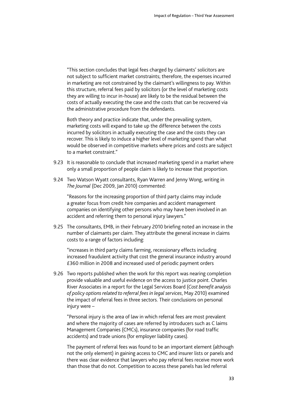"This section concludes that legal fees charged by claimants' solicitors are not subject to sufficient market constraints; therefore, the expenses incurred in marketing are not constrained by the claimant's willingness to pay. Within this structure, referral fees paid by solicitors (or the level of marketing costs they are willing to incur in-house) are likely to be the residual between the costs of actually executing the case and the costs that can be recovered via the administrative procedure from the defendants.

Both theory and practice indicate that, under the prevailing system, marketing costs will expand to take up the difference between the costs incurred by solicitors in actually executing the case and the costs they can recover. This is likely to induce a higher level of marketing spend than what would be observed in competitive markets where prices and costs are subject to a market constraint."

- 9.23 It is reasonable to conclude that increased marketing spend in a market where only a small proportion of people claim is likely to increase that proportion.
- 9.24 Two Watson Wyatt consultants, Ryan Warren and Jenny Wong, writing in *The Journal* (Dec 2009, Jan 2010) commented:

"Reasons for the increasing proportion of third party claims may include a greater focus from credit hire companies and accident management companies on identifying other persons who may have been involved in an accident and referring them to personal injury lawyers."

9.25 The consultants, EMB, in their February 2010 briefing noted an increase in the number of claimants per claim. They attribute the general increase in claims costs to a range of factors including:

"increases in third party claims farming, recessionary effects including increased fraudulent activity that cost the general insurance industry around £360 million in 2008 and increased used of periodic payment orders

9.26 Two reports published when the work for this report was nearing completion provide valuable and useful evidence on the access to justice point. Charles River Associates in a report for the Legal Services Board (*Cost benefit analysis of policy options related to referral fees in legal services*, May 2010) examined the impact of referral fees in three sectors. Their conclusions on personal injury were –

"Personal injury is the area of law in which referral fees are most prevalent and where the majority of cases are referred by introducers such as C laims Management Companies (CMCs), insurance companies (for road traffic accidents) and trade unions (for employer liability cases).

The payment of referral fees was found to be an important element (although not the only element) in gaining access to CMC and insurer lists or panels and there was clear evidence that lawyers who pay referral fees receive more work than those that do not. Competition to access these panels has led referral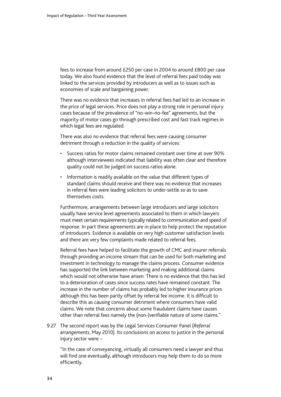fees to increase from around £250 per case in 2004 to around £800 per case today. We also found evidence that the level of referral fees paid today was linked to the services provided by introducers as well as to issues such as economies of scale and bargaining power.

There was no evidence that increases in referral fees had led to an increase in the price of legal services. Price does not play a strong role in personal injury cases because of the prevalence of "no-win-no-fee" agreements, but the majority of motor cases go through prescribed cost and fast track regimes in which legal fees are regulated.

There was also no evidence that referral fees were causing consumer detriment through a reduction in the quality of services:

- Success ratios for motor claims remained constant over time at over 90% although interviewees indicated that liability was often clear and therefore quality could not be judged on success ratios alone.
- Information is readily available on the value that different types of standard claims should receive and there was no evidence that increases in referral fees were leading solicitors to under-settle so as to save themselves costs.

Furthermore, arrangements between large introducers and large solicitors usually have service level agreements associated to them in which lawyers must meet certain requirements typically related to communication and speed of response. In part these agreements are in place to help protect the reputation of introducers. Evidence is available on very high customer satisfaction levels and there are very few complaints made related to referral fees.

Referral fees have helped to facilitate the growth of CMC and insurer referrals through providing an income stream that can be used for both marketing and investment in technology to manage the claims process. Consumer evidence has supported the link between marketing and making additional claims which would not otherwise have arisen. There is no evidence that this has led to a deterioration of cases since success rates have remained constant. The increase in the number of claims has probably led to higher insurance prices although this has been partly offset by referral fee income. It is difficult to describe this as causing consumer detriment where consumers have valid claims. We note that concerns about some fraudulent claims have causes other than referral fees namely the (non-)verifiable nature of some claims."

9.27 The second report was by the Legal Services Consumer Panel (*Referral arrangements*, May 2010). Its conclusions on access to justice in the personal injury sector were -

"In the case of conveyancing, virtually all consumers need a lawyer and thus will find one eventually, although introducers may help them to do so more efficiently.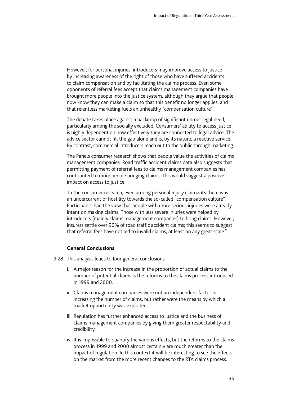However, for personal injuries, introducers may improve access to justice by increasing awareness of the right of those who have suffered accidents to claim compensation and by facilitating the claims process. Even some opponents of referral fees accept that claims management companies have brought more people into the justice system, although they argue that people now know they can make a claim so that this benefit no longer applies, and that relentless marketing fuels an unhealthy "compensation culture".

The debate takes place against a backdrop of significant unmet legal need, particularly among the socially excluded. Consumers' ability to access justice is highly dependent on how effectively they are connected to legal advice. The advice sector cannot fill the gap alone and is, by its nature, a reactive service. By contrast, commercial introducers reach out to the public through marketing.

The Panels consumer research shows that people value the activities of claims management companies. Road traffic accident claims data also suggests that permitting payment of referral fees to claims management companies has contributed to more people bringing claims. This would suggest a positive impact on access to justice.

 In the consumer research, even among personal injury claimants there was an undercurrent of hostility towards the so-called "compensation culture". Participants had the view that people with more serious injuries were already intent on making claims. Those with less severe injuries were helped by introducers (mainly claims management companies) to bring claims. However, insurers settle over 90% of road traffic accident claims; this seems to suggest that referral fees have not led to invalid claims, at least on any great scale."

### **General Conclusions**

- 9.28 This analysis leads to four general conclusions
	- i. A major reason for the increase in the proportion of actual claims to the number of potential claims is the reforms to the claims process introduced in 1999 and 2000.
	- ii. Claims management companies were not an independent factor in increasing the number of claims, but rather were the means by which a market opportunity was exploited.
	- iii. Regulation has further enhanced access to justice and the business of claims management companies by giving them greater respectability and credibility.
	- iv. It is impossible to quantify the various effects, but the reforms to the claims process in 1999 and 2000 almost certainly are much greater than the impact of regulation. In this context it will be interesting to see the effects on the market from the more recent changes to the RTA claims process.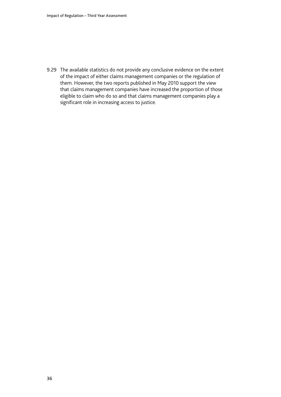9.29 The available statistics do not provide any conclusive evidence on the extent of the impact of either claims management companies or the regulation of them. However, the two reports published in May 2010 support the view that claims management companies have increased the proportion of those eligible to claim who do so and that claims management companies play a significant role in increasing access to justice.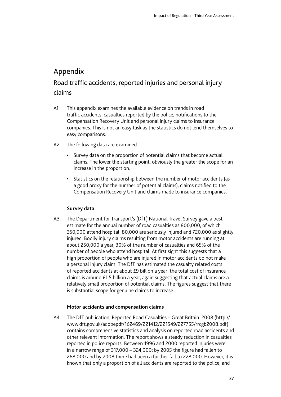### <span id="page-38-0"></span>Appendix

### Road traffic accidents, reported injuries and personal injury claims

- A1. This appendix examines the available evidence on trends in road traffic accidents, casualties reported by the police, notifications to the Compensation Recovery Unit and personal injury claims to insurance companies. This is not an easy task as the statistics do not lend themselves to easy comparisons.
- A2. The following data are examined
	- Survey data on the proportion of potential claims that become actual claims. The lower the starting point, obviously the greater the scope for an increase in the proportion.
	- Statistics on the relationship between the number of motor accidents (as a good proxy for the number of potential claims), claims notified to the Compensation Recovery Unit and claims made to insurance companies.

### **Survey data**

A3. The Department for Transport's (DfT) National Travel Survey gave a best estimate for the annual number of road casualties as 800,000, of which 350,000 attend hospital. 80,000 are seriously injured and 720,000 as slightly injured. Bodily injury claims resulting from motor accidents are running at about 250,000 a year, 30% of the number of casualties and 65% of the number of people who attend hospital. At first sight this suggests that a high proportion of people who are injured in motor accidents do not make a personal injury claim. The DfT has estimated the casualty related costs of reported accidents at about £9 billion a year; the total cost of insurance claims is around £1.5 billion a year, again suggesting that actual claims are a relatively small proportion of potential claims. The figures suggest that there is substantial scope for genuine claims to increase.

### **Motor accidents and compensation claims**

A4. The DfT publication, Reported Road Casualties – Great Britain: 2008 ([http://](http://www.dft.gov.uk/adobepdf/162469/221412/221549/227755/rrcgb2008.pdf) [www.dft.gov.uk/adobepdf/162469/221412/221549/227755/rrcgb2008.pdf](http://www.dft.gov.uk/adobepdf/162469/221412/221549/227755/rrcgb2008.pdf)) contains comprehensive statistics and analysis on reported road accidents and other relevant information. The report shows a steady reduction in casualties reported in police reports. Between 1996 and 2000 reported injuries were in a narrow range of 317,000 – 324,000; by 2005 the figure had fallen to 268,000 and by 2008 there had been a further fall to 228,000. However, it is known that only a proportion of all accidents are reported to the police, and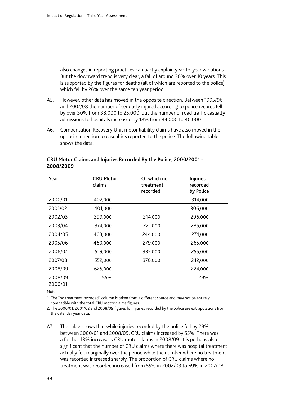also changes in reporting practices can partly explain year-to-year variations. But the downward trend is very clear, a fall of around 30% over 10 years. This is supported by the figures for deaths (all of which are reported to the police), which fell by 26% over the same ten year period.

- A5. However, other data has moved in the opposite direction. Between 1995/96 and 2007/08 the number of seriously injured according to police records fell by over 30% from 38,000 to 25,000, but the number of road traffic casualty admissions to hospitals increased by 18% from 34,000 to 40,000.
- A6. Compensation Recovery Unit motor liability claims have also moved in the opposite direction to casualties reported to the police. The following table shows the data.

| Year               | <b>CRU Motor</b><br>claims | Of which no<br>treatment<br>recorded | <b>Injuries</b><br>recorded<br>by Police |
|--------------------|----------------------------|--------------------------------------|------------------------------------------|
| 2000/01            | 402,000                    |                                      | 314,000                                  |
| 2001/02            | 401,000                    |                                      | 306,000                                  |
| 2002/03            | 399,000                    | 214,000                              | 296,000                                  |
| 2003/04            | 374,000                    | 221,000                              | 285,000                                  |
| 2004/05            | 403,000                    | 244,000                              | 274,000                                  |
| 2005/06            | 460,000                    | 279,000                              | 265,000                                  |
| 2006/07            | 519,000                    | 335,000                              | 255,000                                  |
| 2007/08            | 552,000                    | 370,000                              | 242,000                                  |
| 2008/09            | 625,000                    |                                      | 224,000                                  |
| 2008/09<br>2000/01 | 55%                        |                                      | $-29%$                                   |

### **CRU Motor Claims and Injuries Recorded By the Police, 2000/2001 - 2008/2009**

Note:

1. The "no treatment recorded" column is taken from a different source and may not be entirely compatible with the total CRU motor claims figures.

2. The 2000/01, 2001/02 and 2008/09 figures for injuries recorded by the police are extrapolations from the calendar year data.

A7. The table shows that while injuries recorded by the police fell by 29% between 2000/01 and 2008/09, CRU claims increased by 55%. There was a further 13% increase is CRU motor claims in 2008/09. It is perhaps also significant that the number of CRU claims where there was hospital treatment actually fell marginally over the period while the number where no treatment was recorded increased sharply. The proportion of CRU claims where no treatment was recorded increased from 55% in 2002/03 to 69% in 2007/08.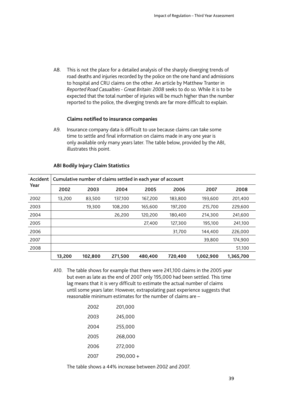A8. This is not the place for a detailed analysis of the sharply diverging trends of road deaths and injuries recorded by the police on the one hand and admissions to hospital and CRU claims on the other. An article by Matthew Tranter in *Reported Road Casualties - Great Britain: 2008* seeks to do so. While it is to be expected that the total number of injuries will be much higher than the number reported to the police, the diverging trends are far more difficult to explain.

### **Claims notified to insurance companies**

A9. Insurance company data is difficult to use because claims can take some time to settle and final information on claims made in any one year is only available only many years later. The table below, provided by the ABI, illustrates this point.

| Accident | Cumulative number of claims settled in each year of account |         |         |         |         |           |           |
|----------|-------------------------------------------------------------|---------|---------|---------|---------|-----------|-----------|
| Year     | 2002                                                        | 2003    | 2004    | 2005    | 2006    | 2007      | 2008      |
| 2002     | 13,200                                                      | 83.500  | 137,100 | 167,200 | 183,800 | 193,600   | 201,400   |
| 2003     |                                                             | 19,300  | 108,200 | 165,600 | 197,200 | 215,700   | 229,600   |
| 2004     |                                                             |         | 26,200  | 120,200 | 180,400 | 214,300   | 241,600   |
| 2005     |                                                             |         |         | 27,400  | 127,300 | 195,100   | 241,100   |
| 2006     |                                                             |         |         |         | 31,700  | 144.400   | 226,000   |
| 2007     |                                                             |         |         |         |         | 39,800    | 174,900   |
| 2008     |                                                             |         |         |         |         |           | 51,100    |
|          | 13,200                                                      | 102,800 | 271,500 | 480,400 | 720,400 | 1,002,900 | 1,365,700 |

### **ABI Bodily Injury Claim Statistics**

A10. The table shows for example that there were 241,100 claims in the 2005 year but even as late as the end of 2007 only 195,000 had been settled. This time lag means that it is very difficult to estimate the actual number of claims until some years later. However, extrapolating past experience suggests that reasonable minimum estimates for the number of claims are –

| 2002 | 201,000  |
|------|----------|
| 2003 | 245,000  |
| 2004 | 255,000  |
| 2005 | 268,000  |
| 2006 | 272,000  |
| 2007 | 290,000+ |

The table shows a 44% increase between 2002 and 2007.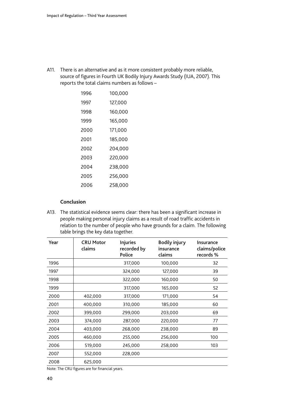A11. There is an alternative and as it more consistent probably more reliable, source of figures in Fourth UK Bodily Injury Awards Study (IUA, 2007). This reports the total claims numbers as follows –

| 1996 | 100,000 |
|------|---------|
| 1997 | 127,000 |
| 1998 | 160,000 |
| 1999 | 165,000 |
| 2000 | 171,000 |
| 2001 | 185,000 |
| 2002 | 204,000 |
| 2003 | 220,000 |
| 2004 | 238,000 |
| 2005 | 256,000 |
| 2006 | 258,000 |

### **Conclusion**

A13. The statistical evidence seems clear: there has been a significant increase in people making personal injury claims as a result of road traffic accidents in relation to the number of people who have grounds for a claim. The following table brings the key data together.

| Year | <b>CRU Motor</b><br>claims | <b>Injuries</b><br>recorded by<br>Police | <b>Bodily injury</b><br>insurance<br>claims | Insurance<br>claims/police<br>records% |
|------|----------------------------|------------------------------------------|---------------------------------------------|----------------------------------------|
| 1996 |                            | 317,000                                  | 100,000                                     | 32                                     |
| 1997 |                            | 324,000                                  | 127,000                                     | 39                                     |
| 1998 |                            | 322,000                                  | 160,000                                     | 50                                     |
| 1999 |                            | 317,000                                  | 165,000                                     | 52                                     |
| 2000 | 402,000                    | 317,000                                  | 171,000                                     | 54                                     |
| 2001 | 400,000                    | 310,000                                  | 185,000                                     | 60                                     |
| 2002 | 399,000                    | 299,000                                  | 203,000                                     | 69                                     |
| 2003 | 374,000                    | 287,000                                  | 220,000                                     | 77                                     |
| 2004 | 403,000                    | 268,000                                  | 238,000                                     | 89                                     |
| 2005 | 460,000                    | 255,000                                  | 256,000                                     | 100                                    |
| 2006 | 519,000                    | 245,000                                  | 258,000                                     | 103                                    |
| 2007 | 552,000                    | 228,000                                  |                                             |                                        |
| 2008 | 625,000                    |                                          |                                             |                                        |

Note: The CRU figures are for financial years.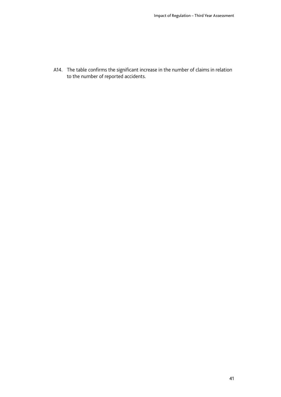A14. The table confirms the significant increase in the number of claims in relation to the number of reported accidents.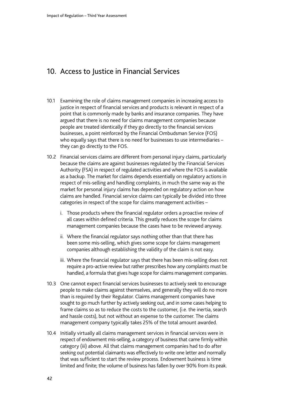### <span id="page-43-0"></span>10. Access to Justice in Financial Services

- 10.1 Examining the role of claims management companies in increasing access to justice in respect of financial services and products is relevant in respect of a point that is commonly made by banks and insurance companies. They have argued that there is no need for claims management companies because people are treated identically if they go directly to the financial services businesses, a point reinforced by the Financial Ombudsman Service (FOS) who equally says that there is no need for businesses to use intermediaries – they can go directly to the FOS.
- 10.2 Financial services claims are different from personal injury claims, particularly because the claims are against businesses regulated by the Financial Services Authority (FSA) in respect of regulated activities and where the FOS is available as a backup. The market for claims depends essentially on regulatory actions in respect of mis-selling and handling complaints, in much the same way as the market for personal injury claims has depended on regulatory action on how claims are handled. Financial service claims can typically be divided into three categories in respect of the scope for claims management activities –
	- i. Those products where the financial regulator orders a proactive review of all cases within defined criteria. This greatly reduces the scope for claims management companies because the cases have to be reviewed anyway.
	- ii. Where the financial regulator says nothing other than that there has been some mis-selling, which gives some scope for claims management companies although establishing the validity of the claim is not easy.
	- iii. Where the financial regulator says that there has been mis-selling does not require a pro-active review but rather prescribes how any complaints must be handled, a formula that gives huge scope for claims management companies.
- 10.3 One cannot expect financial services businesses to actively seek to encourage people to make claims against themselves, and generally they will do no more than is required by their Regulator. Claims management companies have sought to go much further by actively seeking out, and in some cases helping to frame claims so as to reduce the costs to the customer, (i.e. the inertia, search and hassle costs), but not without an expense to the customer. The claims management company typically takes 25% of the total amount awarded.
- 10.4 Initially virtually all claims management services in financial services were in respect of endowment mis-selling, a category of business that came firmly within category (iii) above. All that claims management companies had to do after seeking out potential claimants was effectively to write one letter and normally that was sufficient to start the review process. Endowment business is time limited and finite; the volume of business has fallen by over 90% from its peak.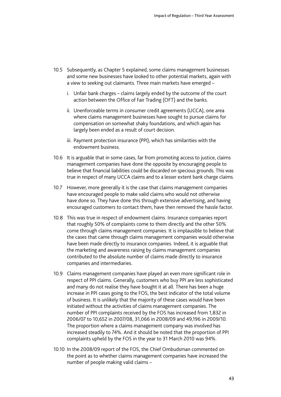- 10.5 Subsequently, as Chapter 5 explained, some claims management businesses and some new businesses have looked to other potential markets, again with a view to seeking out claimants. Three main markets have emerged –
	- i. Unfair bank charges claims largely ended by the outcome of the court action between the Office of Fair Trading (OFT) and the banks.
	- ii. Unenforceable terms in consumer credit agreements (UCCA), one area where claims management businesses have sought to pursue claims for compensation on somewhat shaky foundations, and which again has largely been ended as a result of court decision.
	- iii. Payment protection insurance (PPI), which has similarities with the endowment business.
- 10.6 It is arguable that in some cases, far from promoting access to justice, claims management companies have done the opposite by encouraging people to believe that financial liabilities could be discarded on specious grounds. This was true in respect of many UCCA claims and to a lesser extent bank charge claims.
- 10.7 However, more generally it is the case that claims management companies have encouraged people to make valid claims who would not otherwise have done so. They have done this through extensive advertising, and having encouraged customers to contact them, have then removed the hassle factor.
- 10.8 This was true in respect of endowment claims. Insurance companies report that roughly 50% of complaints come to them directly and the other 50% come through claims management companies. It is implausible to believe that the cases that came through claims management companies would otherwise have been made directly to insurance companies. Indeed, it is arguable that the marketing and awareness raising by claims management companies contributed to the absolute number of claims made directly to insurance companies and intermediaries.
- 10.9 Claims management companies have played an even more significant role in respect of PPI claims. Generally, customers who buy PPI are less sophisticated and many do not realise they have bought it at all. There has been a huge increase in PPI cases going to the FOS, the best indicator of the total volume of business. It is unlikely that the majority of these cases would have been initiated without the activities of claims management companies. The number of PPI complaints received by the FOS has increased from 1,832 in 2006/07 to 10,652 in 2007/08, 31,066 in 2008/09 and 49,196 in 2009/10. The proportion where a claims management company was involved has increased steadily to 74%. And it should be noted that the proportion of PPI complaints upheld by the FOS in the year to 31 March 2010 was 94%.
- 10.10 In the 2008/09 report of the FOS, the Chief Ombudsman commented on the point as to whether claims management companies have increased the number of people making valid claims –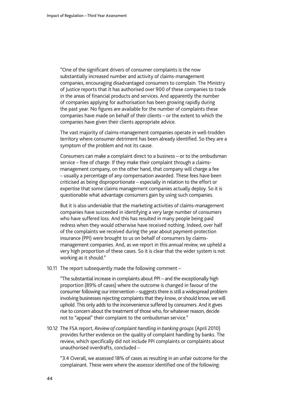"One of the significant drivers of consumer complaints is the now substantially increased number and activity of claims-management companies, encouraging disadvantaged consumers to complain. The Ministry of Justice reports that it has authorised over 900 of these companies to trade in the areas of financial products and services. And apparently the number of companies applying for authorisation has been growing rapidly during the past year. No figures are available for the number of complaints these companies have made on behalf of their clients – or the extent to which the companies have given their clients appropriate advice.

The vast majority of claims-management companies operate in well-trodden territory where consumer detriment has been already identified. So they are a symptom of the problem and not its cause.

Consumers can make a complaint direct to a business – or to the ombudsman service – free of charge. If they make their complaint through a claimsmanagement company, on the other hand, that company will charge a fee – usually a percentage of any compensation awarded. These fees have been criticised as being disproportionate – especially in relation to the effort or expertise that some claims management companies actually deploy. So it is questionable what advantage consumers gain by using such companies.

But it is also undeniable that the marketing activities of claims-management companies have succeeded in identifying a very large number of consumers who have suffered loss. And this has resulted in many people being paid redress when they would otherwise have received nothing. Indeed, over half of the complaints we received during the year about payment-protection insurance (PPI) were brought to us on behalf of consumers by claimsmanagement companies. And, as we report in this *annual review*, we upheld a very high proportion of these cases. So it is clear that the wider system is not working as it should."

10.11 The report subsequently made the following comment –

"The substantial increase in complaints about PPI – and the exceptionally high proportion (89% of cases) where the outcome is changed in favour of the consumer following our intervention – suggests there is still a widespread problem involving businesses rejecting complaints that they know, or should know, we will uphold. This only adds to the inconvenience suffered by consumers. And it gives rise to concern about the treatment of those who, for whatever reason, decide not to "appeal" their complaint to the ombudsman service."

10.12 The FSA report, *Review of complaint handling in banking groups* (April 2010) provides further evidence on the quality of complaint handling by banks. The review, which specifically did not include PPI complaints or complaints about unauthorised overdrafts, concluded –

"3.4 Overall, we assessed 18% of cases as resulting in an unfair outcome for the complainant. These were where the assessor identified one of the following: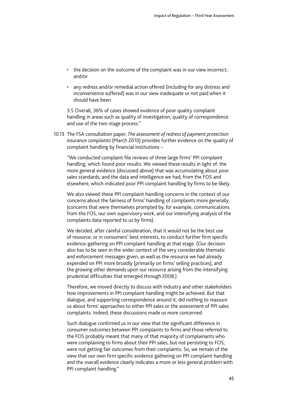- the decision on the outcome of the complaint was in our view incorrect; and/or
- any redress and/or remedial action offered (including for any distress and inconvenience suffered) was in our view inadequate or not paid when it should have been.

3.5 Overall, 36% of cases showed evidence of poor quality complaint handling in areas such as quality of investigation, quality of correspondence and use of the two-stage process."

10.13 The FSA consultation paper, *The assessment of redress of payment protection insurance complaints* (March 2010) provides further evidence on the quality of complaint handling by financial institutions –

"We conducted complaint file reviews of three large firms' PPI complaint handling, which found poor results. We viewed these results in light of: the more general evidence (discussed above) that was accumulating about poor sales standards; and the data and intelligence we had, from the FOS and elsewhere, which indicated poor PPI complaint handling by firms to be likely.

We also viewed these PPI complaint handling concerns in the context of our concerns about the fairness of firms' handling of complaints more generally (concerns that were themselves prompted by, for example, communications from the FOS, our own supervisory work, and our intensifying analysis of the complaints data reported to us by firms).

We decided, after careful consideration, that it would not be the best use of resource, or in consumers' best interests, to conduct further firm specific evidence-gathering on PPI complaint handling at that stage. (Our decision also has to be seen in the wider context of the very considerable thematic and enforcement messages given, as well as the resource we had already expended on PPI more broadly (primarily on firms' selling practices), and the growing other demands upon our resource arising from the intensifying prudential difficulties that emerged through 2008.)

Therefore, we moved directly to discuss with industry and other stakeholders how improvements in PPI complaint handling might be achieved. But that dialogue, and supporting correspondence around it, did nothing to reassure us about firms' approaches to either PPI sales or the assessment of PPI sales complaints. Indeed, these discussions made us *more* concerned.

Such dialogue confirmed us in our view that the significant difference in consumer outcomes between PPI complaints to firms and those referred to the FOS probably meant that many of that majority of complainants who were complaining to firms about their PPI sales, but not persisting to FOS, were not getting fair outcomes from their complaints. So, we remain of the view that our own firm specific evidence gathering on PPI complaint handling and the overall evidence clearly indicates a more or less general problem with PPI complaint handling."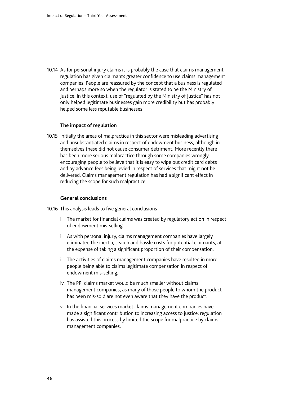10.14 As for personal injury claims it is probably the case that claims management regulation has given claimants greater confidence to use claims management companies. People are reassured by the concept that a business is regulated and perhaps more so when the regulator is stated to be the Ministry of Justice. In this context, use of "regulated by the Ministry of Justice" has not only helped legitimate businesses gain more credibility but has probably helped some less reputable businesses.

### **The impact of regulation**

10.15 Initially the areas of malpractice in this sector were misleading advertising and unsubstantiated claims in respect of endowment business, although in themselves these did not cause consumer detriment. More recently there has been more serious malpractice through some companies wrongly encouraging people to believe that it is easy to wipe out credit card debts and by advance fees being levied in respect of services that might not be delivered. Claims management regulation has had a significant effect in reducing the scope for such malpractice.

### **General conclusions**

10.16 This analysis leads to five general conclusions –

- i. The market for financial claims was created by regulatory action in respect of endowment mis-selling.
- ii. As with personal injury, claims management companies have largely eliminated the inertia, search and hassle costs for potential claimants, at the expense of taking a significant proportion of their compensation.
- iii. The activities of claims management companies have resulted in more people being able to claims legitimate compensation in respect of endowment mis-selling.
- iv. The PPI claims market would be much smaller without claims management companies, as many of those people to whom the product has been mis-sold are not even aware that they have the product.
- v. In the financial services market claims management companies have made a significant contribution to increasing access to justice; regulation has assisted this process by limited the scope for malpractice by claims management companies.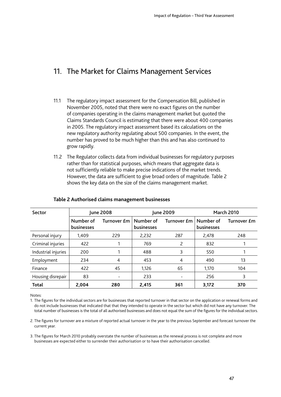### <span id="page-48-0"></span>11. The Market for Claims Management Services

- 11.1 The regulatory impact assessment for the Compensation Bill, published in November 2005, noted that there were no exact figures on the number of companies operating in the claims management market but quoted the Claims Standards Council is estimating that there were about 400 companies in 2005. The regulatory impact assessment based its calculations on the new regulatory authority regulating about 500 companies. In the event, the number has proved to be much higher than this and has also continued to grow rapidly.
- 11.2 The Regulator collects data from individual businesses for regulatory purposes rather than for statistical purposes, which means that aggregate data is not sufficiently reliable to make precise indications of the market trends. However, the data are sufficient to give broad orders of magnitude. Table 2 shows the key data on the size of the claims management market.

| Sector              | June 2008               |             | June 2009               |             | <b>March 2010</b>       |             |
|---------------------|-------------------------|-------------|-------------------------|-------------|-------------------------|-------------|
|                     | Number of<br>businesses | Turnover £m | Number of<br>businesses | Turnover £m | Number of<br>businesses | Turnover £m |
| Personal injury     | 1,409                   | 229         | 2,232                   | 287         | 2,478                   | 248         |
| Criminal injuries   | 422                     |             | 769                     | 2           | 832                     |             |
| Industrial injuries | 200                     |             | 488                     | 3           | 550                     |             |
| Employment          | 234                     | 4           | 453                     | 4           | 490                     | 13          |
| Finance             | 422                     | 45          | 1,126                   | 65          | 1,170                   | 104         |
| Housing disrepair   | 83                      |             | 233                     |             | 256                     | 3           |
| <b>Total</b>        | 2,004                   | 280         | 2,415                   | 361         | 3,172                   | 370         |

### **Table 2 Authorised claims management businesses**

Notes:

1. The figures for the individual sectors are for businesses that reported turnover in that sector on the application or renewal forms and do not include businesses that indicated that that they intended to operate in the sector but which did not have any turnover. The total number of businesses is the total of all authorised businesses and does not equal the sum of the figures for the individual sectors.

2. The figures for turnover are a mixture of reported actual turnover in the year to the previous September and forecast turnover the current year.

3. The figures for March 2010 probably overstate the number of businesses as the renewal process is not complete and more businesses are expected either to surrender their authorisation or to have their authorisation cancelled.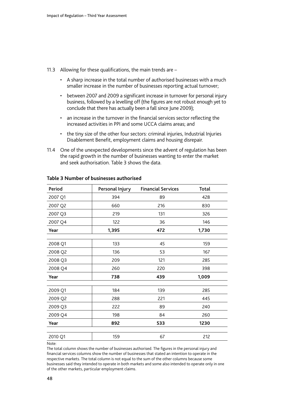- 11.3 Allowing for these qualifications, the main trends are
	- • A sharp increase in the total number of authorised businesses with a much smaller increase in the number of businesses reporting actual turnover;
	- between 2007 and 2009 a significant increase in turnover for personal injury business, followed by a levelling off (the figures are not robust enough yet to conclude that there has actually been a fall since June 2009);
	- an increase in the turnover in the financial services sector reflecting the increased activities in PPI and some UCCA claims areas; and
	- the tiny size of the other four sectors: criminal injuries, Industrial Injuries Disablement Benefit, employment claims and housing disrepair.
- 11.4 One of the unexpected developments since the advent of regulation has been the rapid growth in the number of businesses wanting to enter the market and seek authorisation. Table 3 shows the data.

| Period  | Personal Injury | <b>Financial Services</b> | Total |
|---------|-----------------|---------------------------|-------|
| 2007 Q1 | 394             | 89                        | 428   |
| 2007 Q2 | 660             | 216                       | 830   |
| 2007 Q3 | 219             | 131                       | 326   |
| 2007 Q4 | 122             | 36                        | 146   |
| Year    | 1,395           | 472                       | 1,730 |
|         |                 |                           |       |
| 2008 Q1 | 133             | 45                        | 159   |
| 2008 Q2 | 136             | 53                        | 167   |
| 2008 Q3 | 209             | 121                       | 285   |
| 2008 Q4 | 260             | 220                       | 398   |
| Year    | 738             | 439                       | 1,009 |
|         |                 |                           |       |
| 2009 Q1 | 184             | 139                       | 285   |
| 2009 Q2 | 288             | 221                       | 445   |
| 2009 Q3 | 222             | 89                        | 240   |
| 2009 Q4 | 198             | 84                        | 260   |
| Year    | 892             | 533                       | 1230  |
|         |                 |                           |       |
| 2010 Q1 | 159             | 67                        | 212   |

### **Table 3 Number of businesses authorised**

Note:

The total column shows the number of businesses authorised. The figures in the personal injury and financial services columns show the number of businesses that stated an intention to operate in the respective markets. The total column is not equal to the sum of the other columns because some businesses said they intended to operate in both markets and some also intended to operate only in one of the other markets, particular employment claims.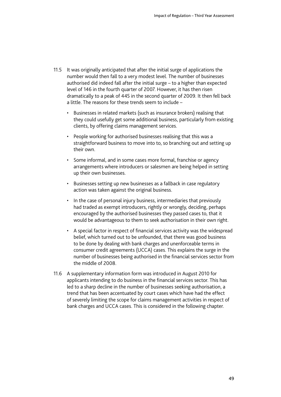- 11.5 It was originally anticipated that after the initial surge of applications the number would then fall to a very modest level. The number of businesses authorised did indeed fall after the initial surge – to a higher than expected level of 146 in the fourth quarter of 2007. However, it has then risen dramatically to a peak of 445 in the second quarter of 2009. It then fell back a little. The reasons for these trends seem to include –
	- Businesses in related markets (such as insurance brokers) realising that they could usefully get some additional business, particularly from existing clients, by offering claims management services.
	- People working for authorised businesses realising that this was a straightforward business to move into to, so branching out and setting up their own.
	- Some informal, and in some cases more formal, franchise or agency arrangements where introducers or salesmen are being helped in setting up their own businesses.
	- Businesses setting up new businesses as a fallback in case regulatory action was taken against the original business.
	- In the case of personal injury business, intermediaries that previously had traded as exempt introducers, rightly or wrongly, deciding, perhaps encouraged by the authorised businesses they passed cases to, that it would be advantageous to them to seek authorisation in their own right.
	- • A special factor in respect of financial services activity was the widespread belief, which turned out to be unfounded, that there was good business to be done by dealing with bank charges and unenforceable terms in consumer credit agreements (UCCA) cases. This explains the surge in the number of businesses being authorised in the financial services sector from the middle of 2008.
- 11.6 A supplementary information form was introduced in August 2010 for applicants intending to do business in the financial services sector. This has led to a sharp decline in the number of businesses seeking authorisation, a trend that has been accentuated by court cases which have had the effect of severely limiting the scope for claims management activities in respect of bank charges and UCCA cases. This is considered in the following chapter.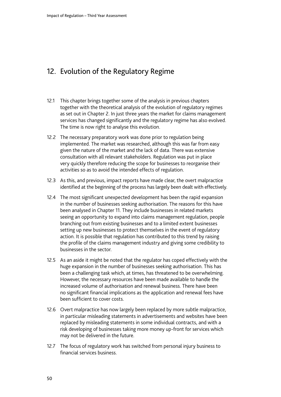### <span id="page-51-0"></span>12. Evolution of the Regulatory Regime

- 12.1 This chapter brings together some of the analysis in previous chapters together with the theoretical analysis of the evolution of regulatory regimes as set out in Chapter 2. In just three years the market for claims management services has changed significantly and the regulatory regime has also evolved. The time is now right to analyse this evolution.
- 12.2 The necessary preparatory work was done prior to regulation being implemented. The market was researched, although this was far from easy given the nature of the market and the lack of data. There was extensive consultation with all relevant stakeholders. Regulation was put in place very quickly therefore reducing the scope for businesses to reorganise their activities so as to avoid the intended effects of regulation.
- 12.3 As this, and previous, impact reports have made clear, the overt malpractice identified at the beginning of the process has largely been dealt with effectively.
- 12.4 The most significant unexpected development has been the rapid expansion in the number of businesses seeking authorisation. The reasons for this have been analysed in Chapter 11. They include businesses in related markets seeing an opportunity to expand into claims management regulation, people branching out from existing businesses and to a limited extent businesses setting up new businesses to protect themselves in the event of regulatory action. It is possible that regulation has contributed to this trend by raising the profile of the claims management industry and giving some credibility to businesses in the sector.
- 12.5 As an aside it might be noted that the regulator has coped effectively with the huge expansion in the number of businesses seeking authorisation. This has been a challenging task which, at times, has threatened to be overwhelming. However, the necessary resources have been made available to handle the increased volume of authorisation and renewal business. There have been no significant financial implications as the application and renewal fees have been sufficient to cover costs.
- 12.6 Overt malpractice has now largely been replaced by more subtle malpractice, in particular misleading statements in advertisements and websites have been replaced by misleading statements in some individual contracts, and with a risk developing of businesses taking more money up-front for services which may not be delivered in the future.
- 12.7 The focus of regulatory work has switched from personal injury business to financial services business.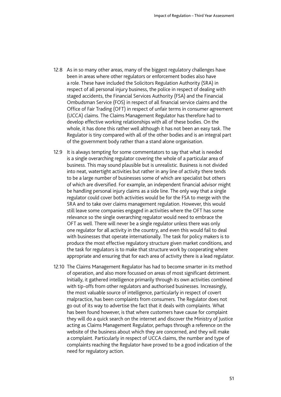- 12.8 As in so many other areas, many of the biggest regulatory challenges have been in areas where other regulators or enforcement bodies also have a role. These have included the Solicitors Regulation Authority (SRA) in respect of all personal injury business, the police in respect of dealing with staged accidents, the Financial Services Authority (FSA) and the Financial Ombudsman Service (FOS) in respect of all financial service claims and the Office of Fair Trading (OFT) in respect of unfair terms in consumer agreement (UCCA) claims. The Claims Management Regulator has therefore had to develop effective working relationships with all of these bodies. On the whole, it has done this rather well although it has not been an easy task. The Regulator is tiny compared with all of the other bodies and is an integral part of the government body rather than a stand alone organisation.
- 12.9 It is always tempting for some commentators to say that what is needed is a single overarching regulator covering the whole of a particular area of business. This may sound plausible but is unrealistic. Business is not divided into neat, watertight activities but rather in any line of activity there tends to be a large number of businesses some of which are specialist but others of which are diversified. For example, an independent financial advisor might be handling personal injury claims as a side line. The only way that a single regulator could cover both activities would be for the FSA to merge with the SRA and to take over claims management regulation. However, this would still leave some companies engaged in activities where the OFT has some relevance so the single overarching regulator would need to embrace the OFT as well. There will never be a single regulator unless there was only one regulator for all activity in the country, and even this would fail to deal with businesses that operate internationally. The task for policy makers is to produce the most effective regulatory structure given market conditions, and the task for regulators is to make that structure work by cooperating where appropriate and ensuring that for each area of activity there is a lead regulator.
- 12.10 The Claims Management Regulator has had to become smarter in its method of operation, and also more focussed on areas of most significant detriment. Initially, it gathered intelligence primarily through its own activities combined with tip-offs from other regulators and authorised businesses. Increasingly, the most valuable source of intelligence, particularly in respect of covert malpractice, has been complaints from consumers. The Regulator does not go out of its way to advertise the fact that it deals with complaints. What has been found however, is that where customers have cause for complaint they will do a quick search on the internet and discover the Ministry of Justice acting as Claims Management Regulator, perhaps through a reference on the website of the business about which they are concerned, and they will make a complaint. Particularly in respect of UCCA claims, the number and type of complaints reaching the Regulator have proved to be a good indication of the need for regulatory action.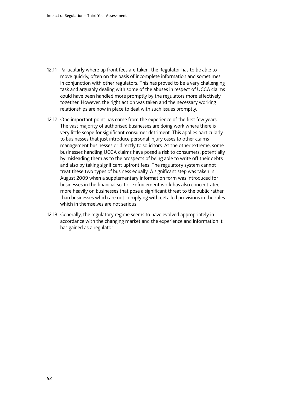- 12.11 Particularly where up front fees are taken, the Regulator has to be able to move quickly, often on the basis of incomplete information and sometimes in conjunction with other regulators. This has proved to be a very challenging task and arguably dealing with some of the abuses in respect of UCCA claims could have been handled more promptly by the regulators more effectively together. However, the right action was taken and the necessary working relationships are now in place to deal with such issues promptly.
- 12.12 One important point has come from the experience of the first few years. The vast majority of authorised businesses are doing work where there is very little scope for significant consumer detriment. This applies particularly to businesses that just introduce personal injury cases to other claims management businesses or directly to solicitors. At the other extreme, some businesses handling UCCA claims have posed a risk to consumers, potentially by misleading them as to the prospects of being able to write off their debts and also by taking significant upfront fees. The regulatory system cannot treat these two types of business equally. A significant step was taken in August 2009 when a supplementary information form was introduced for businesses in the financial sector. Enforcement work has also concentrated more heavily on businesses that pose a significant threat to the public rather than businesses which are not complying with detailed provisions in the rules which in themselves are not serious.
- 12.13 Generally, the regulatory regime seems to have evolved appropriately in accordance with the changing market and the experience and information it has gained as a regulator.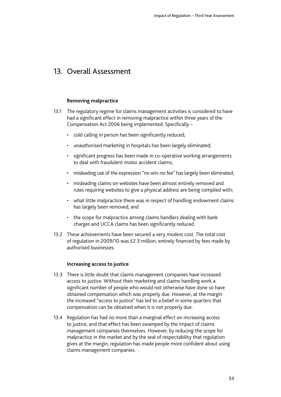### <span id="page-54-0"></span>13. Overall Assessment

### **Removing malpractice**

- 13.1 The regulatory regime for claims management activities is considered to have had a significant effect in removing malpractice within three years of the Compensation Act 2006 being implemented. Specifically –
	- cold calling in person has been significantly reduced;
	- unauthorised marketing in hospitals has been largely eliminated;
	- significant progress has been made in co-operative working arrangements to deal with fraudulent motor accident claims;
	- misleading use of the expression "no win-no fee" has largely been eliminated;
	- misleading claims on websites have been almost entirely removed and rules requiring websites to give a physical address are being complied with;
	- what little malpractice there was in respect of handling endowment claims has largely been removed; and
	- the scope for malpractice among claims handlers dealing with bank charges and UCCA claims has been significantly reduced.
- 13.2 These achievements have been secured a very modest cost. The total cost of regulation in 2009/10 was £2.3 million, entirely financed by fees made by authorised businesses.

### **Increasing access to justice**

- 13.3 There is little doubt that claims management companies have increased access to justice. Without their marketing and claims handling work a significant number of people who would not otherwise have done so have obtained compensation which was properly due. However, at the margin the increased "access to justice" has led to a belief in some quarters that compensation can be obtained when it is not properly due.
- 13.4 Regulation has had no more than a marginal effect on increasing access to justice, and that effect has been swamped by the impact of claims management companies themselves. However, by reducing the scope for malpractice in the market and by the seal of respectability that regulation gives at the margin, regulation has made people more confident about using claims management companies.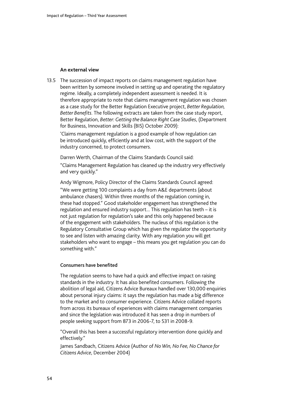### **An external view**

13.5 The succession of impact reports on claims management regulation have been written by someone involved in setting up and operating the regulatory regime. Ideally, a completely independent assessment is needed. It is therefore appropriate to note that claims management regulation was chosen as a case study for the Better Regulation Executive project, *Better Regulation, Better Benefits*. The following extracts are taken from the case study report, Better Regulation, *Better: Getting the Balance Right Case Studies*, (Department for Business, Innovation and Skills (BIS) October 2009):

'Claims management regulation is a good example of how regulation can be introduced quickly, efficiently and at low cost, with the support of the industry concerned, to protect consumers.

Darren Werth, Chairman of the Claims Standards Council said: "Claims Management Regulation has cleaned up the industry very effectively and very quickly."

Andy Wigmore, Policy Director of the Claims Standards Council agreed: "We were getting 100 complaints a day from A&E departments (about ambulance chasers). Within three months of the regulation coming in, these had stopped." Good stakeholder engagement has strengthened the regulation and ensured industry support... This regulation has teeth – it is not just regulation for regulation's sake and this only happened because of the engagement with stakeholders. The nucleus of this regulation is the Regulatory Consultative Group which has given the regulator the opportunity to see and listen with amazing clarity. With any regulation you will get stakeholders who want to engage – this means you get regulation you can do something with."

### Consumers have benefited

The regulation seems to have had a quick and effective impact on raising standards in the industry. It has also benefited consumers. Following the abolition of legal aid, Citizens Advice Bureaux handled over 130,000 enquiries about personal injury claims: it says the regulation has made a big difference to the market and to consumer experience. Citizens Advice collated reports from across its bureaux of experiences with claims management companies and since the legislation was introduced it has seen a drop in numbers of people seeking support from 873 in 2006-7, to 531 in 2008-9.

"Overall this has been a successful regulatory intervention done quickly and effectively."

James Sandbach, Citizens Advice (Author of *No Win, No Fee, No Chance for Citizens Advice*, December 2004)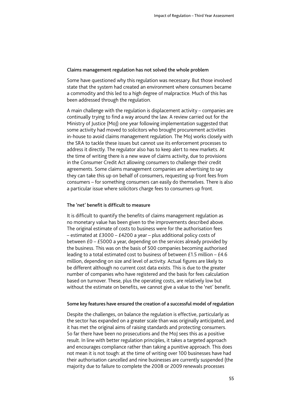### Claims management regulation has not solved the whole problem

Some have questioned why this regulation was necessary. But those involved state that the system had created an environment where consumers became a commodity and this led to a high degree of malpractice. Much of this has been addressed through the regulation.

A main challenge with the regulation is displacement activity – companies are continually trying to find a way around the law. A review carried out for the Ministry of Justice (MoJ) one year following implementation suggested that some activity had moved to solicitors who brought procurement activities in-house to avoid claims management regulation. The MoJ works closely with the SRA to tackle these issues but cannot use its enforcement processes to address it directly. The regulator also has to keep alert to new markets. At the time of writing there is a new wave of claims activity, due to provisions in the Consumer Credit Act allowing consumers to challenge their credit agreements. Some claims management companies are advertising to say they can take this up on behalf of consumers, requesting up front fees from consumers – for something consumers can easily do themselves. There is also a particular issue where solicitors charge fees to consumers up front.

### The 'net' benefit is difficult to measure

It is difficult to quantify the benefits of claims management regulation as no monetary value has been given to the improvements described above. The original estimate of costs to business were for the authorisation fees – estimated at £3000 – £4200 a year – plus additional policy costs of between £0 – £5000 a year, depending on the services already provided by the business. This was on the basis of 500 companies becoming authorised leading to a total estimated cost to business of between £1.5 million – £4.6 million, depending on size and level of activity. Actual figures are likely to be different although no current cost data exists. This is due to the greater number of companies who have registered and the basis for fees calculation based on turnover. These, plus the operating costs, are relatively low but without the estimate on benefits, we cannot give a value to the 'net' benefit.

#### Some key features have ensured the creation of a successful model of regulation

Despite the challenges, on balance the regulation is effective, particularly as the sector has expanded on a greater scale than was originally anticipated, and it has met the original aims of raising standards and protecting consumers. So far there have been no prosecutions and the MoJ sees this as a positive result. In line with better regulation principles, it takes a targeted approach and encourages compliance rather than taking a punitive approach. This does not mean it is not tough: at the time of writing over 100 businesses have had their authorisation cancelled and nine businesses are currently suspended (the majority due to failure to complete the 2008 or 2009 renewals processes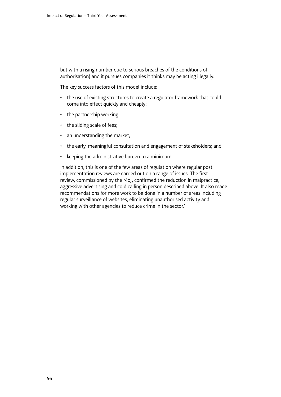but with a rising number due to serious breaches of the conditions of authorisation) and it pursues companies it thinks may be acting illegally.

The key success factors of this model include:

- the use of existing structures to create a regulator framework that could come into effect quickly and cheaply;
- the partnership working;
- the sliding scale of fees;
- an understanding the market;
- the early, meaningful consultation and engagement of stakeholders; and
- • keeping the administrative burden to a minimum.

In addition, this is one of the few areas of regulation where regular post implementation reviews are carried out on a range of issues. The first review, commissioned by the MoJ, confirmed the reduction in malpractice, aggressive advertising and cold calling in person described above. It also made recommendations for more work to be done in a number of areas including regular surveillance of websites, eliminating unauthorised activity and working with other agencies to reduce crime in the sector.'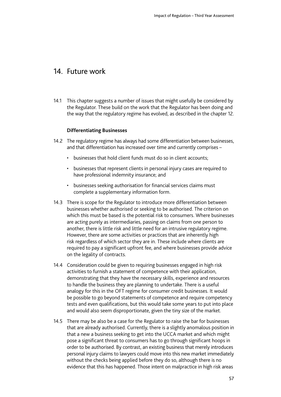### <span id="page-58-0"></span>14. Future work

14.1 This chapter suggests a number of issues that might usefully be considered by the Regulator. These build on the work that the Regulator has been doing and the way that the regulatory regime has evolved, as described in the chapter 12.

### **Differentiating Businesses**

- 14.2 The regulatory regime has always had some differentiation between businesses, and that differentiation has increased over time and currently comprises –
	- businesses that hold client funds must do so in client accounts:
	- businesses that represent clients in personal injury cases are required to have professional indemnity insurance; and
	- businesses seeking authorisation for financial services claims must complete a supplementary information form.
- 14.3 There is scope for the Regulator to introduce more differentiation between businesses whether authorised or seeking to be authorised. The criterion on which this must be based is the potential risk to consumers. Where businesses are acting purely as intermediaries, passing on claims from one person to another, there is little risk and little need for an intrusive regulatory regime. However, there are some activities or practices that are inherently high risk regardless of which sector they are in. These include where clients are required to pay a significant upfront fee, and where businesses provide advice on the legality of contracts.
- 14.4 Consideration could be given to requiring businesses engaged in high risk activities to furnish a statement of competence with their application, demonstrating that they have the necessary skills, experience and resources to handle the business they are planning to undertake. There is a useful analogy for this in the OFT regime for consumer credit businesses. It would be possible to go beyond statements of competence and require competency tests and even qualifications, but this would take some years to put into place and would also seem disproportionate, given the tiny size of the market.
- 14.5 There may be also be a case for the Regulator to raise the bar for businesses that are already authorised. Currently, there is a slightly anomalous position in that a new a business seeking to get into the UCCA market and which might pose a significant threat to consumers has to go through significant hoops in order to be authorised. By contrast, an existing business that merely introduces personal injury claims to lawyers could move into this new market immediately without the checks being applied before they do so, although there is no evidence that this has happened. Those intent on malpractice in high risk areas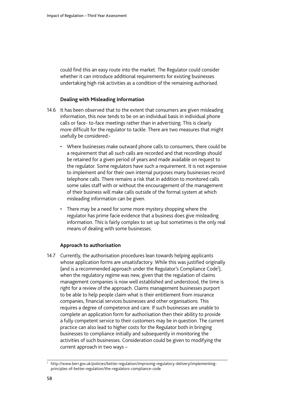could find this an easy route into the market. The Regulator could consider whether it can introduce additional requirements for existing businesses undertaking high risk activities as a condition of the remaining authorised.

### **Dealing with Misleading Information**

- 14.6 It has been observed that to the extent that consumers are given misleading information, this now tends to be on an individual basis in individual phone calls or face- to-face meetings rather than in advertising. This is clearly more difficult for the regulator to tackle. There are two measures that might usefully be considered:-
	- Where businesses make outward phone calls to consumers, there could be a requirement that all such calls are recorded and that recordings should be retained for a given period of years and made available on request to the regulator. Some regulators have such a requirement. It is not expensive to implement and for their own internal purposes many businesses record telephone calls. There remains a risk that in addition to monitored calls some sales staff with or without the encouragement of the management of their business will make calls outside of the formal system at which misleading information can be given.
	- There may be a need for some more mystery shopping where the regulator has prime facie evidence that a business does give misleading information. This is fairly complex to set up but sometimes is the only real means of dealing with some businesses.

### **Approach to authorisation**

14.7 Currently, the authorisation procedures lean towards helping applicants whose application forms are unsatisfactory. While this was justified originally (and is a recommended approach under the Regulator's Compliance Code<sup>1</sup>), when the regulatory regime was new, given that the regulation of claims management companies is now well established and understood, the time is right for a review of the approach. Claims management businesses purport to be able to help people claim what is their entitlement from insurance companies, financial services businesses and other organisations. This requires a degree of competence and care. If such businesses are unable to complete an application form for authorisation then their ability to provide a fully competent service to their customers may be in question. The current practice can also lead to higher costs for the Regulator both in bringing businesses to compliance initially and subsequently in monitoring the activities of such businesses. Consideration could be given to modifying the current approach in two ways –

<sup>1</sup> [http://www.berr.gov.uk/policies/better-regulation/improving-regulatory-delivery/implementing](http://www.berr.gov.uk/policies/better-regulation/improving-regulatory-delivery/implementing-principles-of-better-regulation/the-regulators-compliance-code)[principles-of-better-regulation/the-regulators-compliance-code](http://www.berr.gov.uk/policies/better-regulation/improving-regulatory-delivery/implementing-principles-of-better-regulation/the-regulators-compliance-code)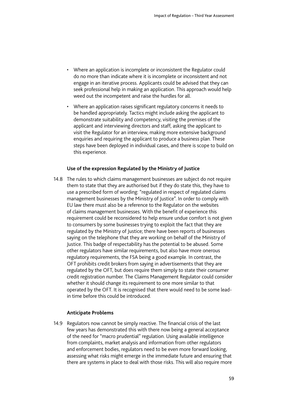- Where an application is incomplete or inconsistent the Regulator could do no more than indicate where it is incomplete or inconsistent and not engage in an iterative process. Applicants could be advised that they can seek professional help in making an application. This approach would help weed out the incompetent and raise the hurdles for all.
- Where an application raises significant regulatory concerns it needs to be handled appropriately. Tactics might include asking the applicant to demonstrate suitability and competency, visiting the premises of the applicant and interviewing directors and staff, asking the applicant to visit the Regulator for an interview, making more extensive background enquiries and requiring the applicant to produce a business plan. These steps have been deployed in individual cases, and there is scope to build on this experience.

### **Use of the expression Regulated by the Ministry of Justice**

14.8 The rules to which claims management businesses are subject do not require them to state that they are authorised but if they do state this, they have to use a prescribed form of wording: "regulated in respect of regulated claims management businesses by the Ministry of Justice". In order to comply with EU law there must also be a reference to the Regulator on the websites of claims management businesses. With the benefit of experience this requirement could be reconsidered to help ensure undue comfort is not given to consumers by some businesses trying to exploit the fact that they are regulated by the Ministry of Justice; there have been reports of businesses saying on the telephone that they are working on behalf of the Ministry of Justice. This badge of respectability has the potential to be abused. Some other regulators have similar requirements, but also have more onerous regulatory requirements, the FSA being a good example. In contrast, the OFT prohibits credit brokers from saying in advertisements that they are regulated by the OFT, but does require them simply to state their consumer credit registration number. The Claims Management Regulator could consider whether it should change its requirement to one more similar to that operated by the OFT. It is recognised that there would need to be some leadin time before this could be introduced.

### **Anticipate Problems**

14.9 Regulators now cannot be simply reactive. The financial crisis of the last few years has demonstrated this with there now being a general acceptance of the need for "macro prudential" regulation. Using available intelligence from complaints, market analysis and information from other regulators and enforcement bodies, regulators need to be even more forward looking, assessing what risks might emerge in the immediate future and ensuring that there are systems in place to deal with those risks. This will also require more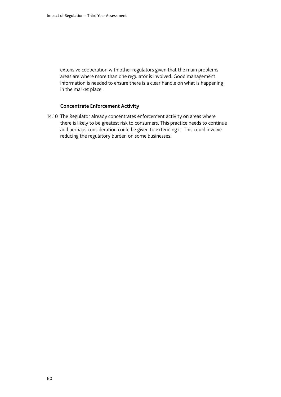extensive cooperation with other regulators given that the main problems areas are where more than one regulator is involved. Good management information is needed to ensure there is a clear handle on what is happening in the market place.

### **Concentrate Enforcement Activity**

14.10 The Regulator already concentrates enforcement activity on areas where there is likely to be greatest risk to consumers. This practice needs to continue and perhaps consideration could be given to extending it. This could involve reducing the regulatory burden on some businesses.